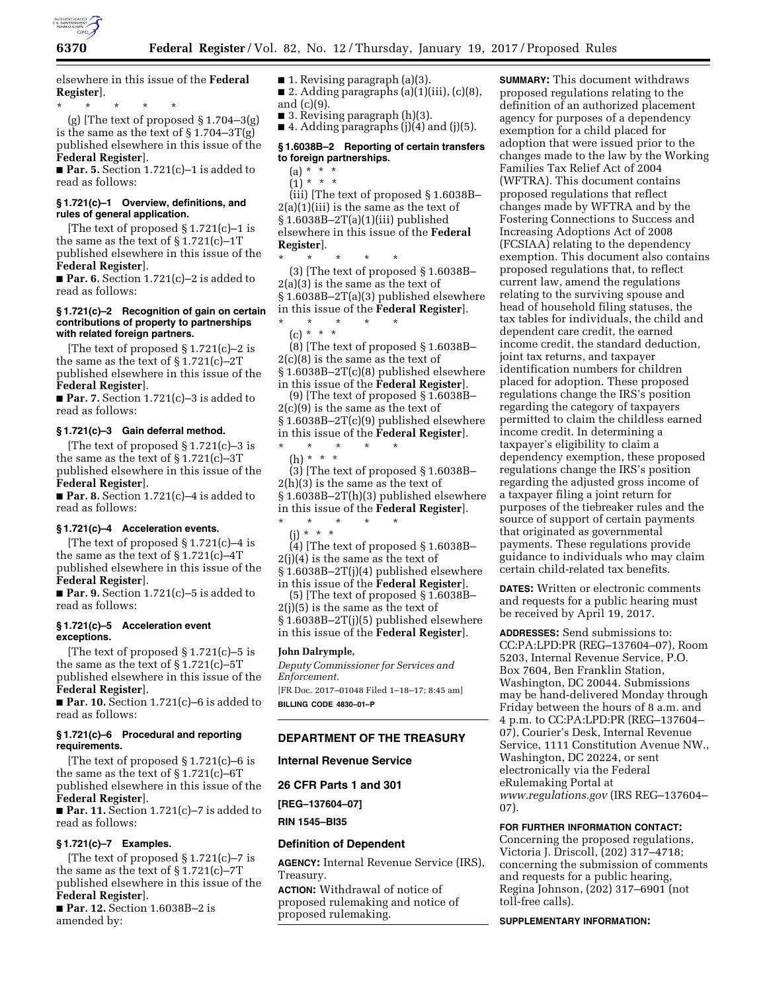

elsewhere in this issue of the **Federal Register**].

\* \* \* \* \*

(g) [The text of proposed  $\S 1.704-3(g)$ is the same as the text of  $\S 1.704 - 3T(g)$ published elsewhere in this issue of the **Federal Register**].

■ **Par. 5.** Section 1.721(c)–1 is added to read as follows:

## **§ 1.721(c)–1 Overview, definitions, and rules of general application.**

[The text of proposed § 1.721(c)–1 is the same as the text of  $\S 1.721(c) - 1T$ published elsewhere in this issue of the **Federal Register**].

■ **Par. 6.** Section 1.721(c)–2 is added to read as follows:

#### **§ 1.721(c)–2 Recognition of gain on certain contributions of property to partnerships with related foreign partners.**

[The text of proposed § 1.721(c)–2 is the same as the text of  $\S 1.721(c) - 2T$ published elsewhere in this issue of the **Federal Register**].

■ **Par. 7.** Section 1.721(c)–3 is added to read as follows:

#### **§ 1.721(c)–3 Gain deferral method.**

[The text of proposed  $\S 1.721(c) - 3$  is the same as the text of  $\S 1.721(c) - 3T$ published elsewhere in this issue of the **Federal Register**].

**Par. 8.** Section  $1.721(c) - 4$  is added to read as follows:

### **§ 1.721(c)–4 Acceleration events.**

[The text of proposed § 1.721(c)–4 is the same as the text of § 1.721(c)–4T published elsewhere in this issue of the **Federal Register**].

■ **Par. 9.** Section 1.721(c)–5 is added to read as follows:

### **§ 1.721(c)–5 Acceleration event exceptions.**

[The text of proposed § 1.721(c)–5 is the same as the text of  $\S 1.721(c) - 5T$ published elsewhere in this issue of the **Federal Register**].

■ **Par. 10.** Section 1.721(c)–6 is added to read as follows:

## **§ 1.721(c)–6 Procedural and reporting requirements.**

[The text of proposed § 1.721(c)–6 is the same as the text of  $\S 1.721(c) - 6T$ published elsewhere in this issue of the **Federal Register**].

■ **Par. 11.** Section 1.721(c)–7 is added to read as follows:

## **§ 1.721(c)–7 Examples.**

[The text of proposed § 1.721(c)–7 is the same as the text of § 1.721(c)–7T published elsewhere in this issue of the **Federal Register**].

■ **Par. 12.** Section 1.6038B-2 is amended by:

■ 1. Revising paragraph (a)(3).

■ 2. Adding paragraphs  $(a)(1)(iii)$ ,  $(c)(8)$ , and (c)(9).

 $\blacksquare$  3. Revising paragraph (h)(3).

 $\blacksquare$  4. Adding paragraphs (j)(4) and (j)(5).

### **§ 1.6038B–2 Reporting of certain transfers to foreign partnerships.**

 $(a) * * * *$ 

 $(1) * * * *$ (iii) [The text of proposed § 1.6038B–  $2(a)(1)(iii)$  is the same as the text of § 1.6038B–2T(a)(1)(iii) published elsewhere in this issue of the **Federal Register**].

\* \* \* \* \*

(3) [The text of proposed § 1.6038B– 2(a)(3) is the same as the text of § 1.6038B–2T(a)(3) published elsewhere in this issue of the **Federal Register**].

\* \* \* \* \*

(c) \* \* \*  $(8)$  [The text of proposed § 1.6038B-2(c)(8) is the same as the text of § 1.6038B–2T(c)(8) published elsewhere in this issue of the **Federal Register**].

(9) [The text of proposed § 1.6038B– 2(c)(9) is the same as the text of § 1.6038B–2T(c)(9) published elsewhere in this issue of the **Federal Register**].

\* \* \* \* \* (h) \* \* \*

(3) [The text of proposed § 1.6038B– 2(h)(3) is the same as the text of § 1.6038B–2T(h)(3) published elsewhere in this issue of the **Federal Register**].

\* \* \* \* \* (j) \* \* \*

(4) [The text of proposed § 1.6038B–  $2(i)(4)$  is the same as the text of § 1.6038B–2T(j)(4) published elsewhere in this issue of the **Federal Register**].

(5) [The text of proposed § 1.6038B– 2(j)(5) is the same as the text of § 1.6038B–2T(j)(5) published elsewhere in this issue of the **Federal Register**].

#### **John Dalrymple,**

*Deputy Commissioner for Services and Enforcement.*  [FR Doc. 2017–01048 Filed 1–18–17; 8:45 am] **BILLING CODE 4830–01–P** 

### **DEPARTMENT OF THE TREASURY**

### **Internal Revenue Service**

**26 CFR Parts 1 and 301** 

**[REG–137604–07]** 

**RIN 1545–BI35** 

### **Definition of Dependent**

**AGENCY:** Internal Revenue Service (IRS), Treasury.

**ACTION:** Withdrawal of notice of proposed rulemaking and notice of proposed rulemaking.

**SUMMARY:** This document withdraws proposed regulations relating to the definition of an authorized placement agency for purposes of a dependency exemption for a child placed for adoption that were issued prior to the changes made to the law by the Working Families Tax Relief Act of 2004 (WFTRA). This document contains proposed regulations that reflect changes made by WFTRA and by the Fostering Connections to Success and Increasing Adoptions Act of 2008 (FCSIAA) relating to the dependency exemption. This document also contains proposed regulations that, to reflect current law, amend the regulations relating to the surviving spouse and head of household filing statuses, the tax tables for individuals, the child and dependent care credit, the earned income credit, the standard deduction, joint tax returns, and taxpayer identification numbers for children placed for adoption. These proposed regulations change the IRS's position regarding the category of taxpayers permitted to claim the childless earned income credit. In determining a taxpayer's eligibility to claim a dependency exemption, these proposed regulations change the IRS's position regarding the adjusted gross income of a taxpayer filing a joint return for purposes of the tiebreaker rules and the source of support of certain payments that originated as governmental payments. These regulations provide guidance to individuals who may claim certain child-related tax benefits.

**DATES:** Written or electronic comments and requests for a public hearing must be received by April 19, 2017.

**ADDRESSES:** Send submissions to: CC:PA:LPD:PR (REG–137604–07), Room 5203, Internal Revenue Service, P.O. Box 7604, Ben Franklin Station, Washington, DC 20044. Submissions may be hand-delivered Monday through Friday between the hours of 8 a.m. and 4 p.m. to CC:PA:LPD:PR (REG–137604– 07), Courier's Desk, Internal Revenue Service, 1111 Constitution Avenue NW., Washington, DC 20224, or sent electronically via the Federal eRulemaking Portal at *[www.regulations.gov](http://www.regulations.gov)* (IRS REG–137604– 07).

**FOR FURTHER INFORMATION CONTACT:** 

Concerning the proposed regulations, Victoria J. Driscoll, (202) 317–4718; concerning the submission of comments and requests for a public hearing, Regina Johnson, (202) 317–6901 (not toll-free calls).

#### **SUPPLEMENTARY INFORMATION:**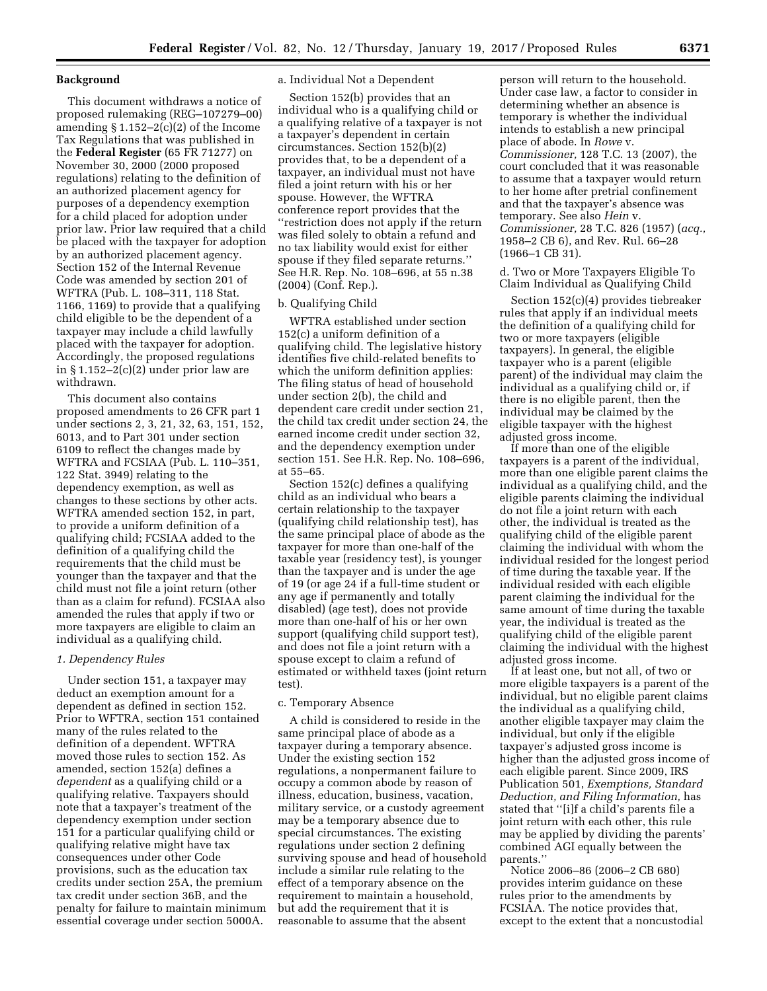### **Background**

This document withdraws a notice of proposed rulemaking (REG–107279–00) amending § 1.152–2(c)(2) of the Income Tax Regulations that was published in the **Federal Register** (65 FR 71277) on November 30, 2000 (2000 proposed regulations) relating to the definition of an authorized placement agency for purposes of a dependency exemption for a child placed for adoption under prior law. Prior law required that a child be placed with the taxpayer for adoption by an authorized placement agency. Section 152 of the Internal Revenue Code was amended by section 201 of WFTRA (Pub. L. 108–311, 118 Stat. 1166, 1169) to provide that a qualifying child eligible to be the dependent of a taxpayer may include a child lawfully placed with the taxpayer for adoption. Accordingly, the proposed regulations in  $$1.152-2(c)(2)$  under prior law are withdrawn.

This document also contains proposed amendments to 26 CFR part 1 under sections 2, 3, 21, 32, 63, 151, 152, 6013, and to Part 301 under section 6109 to reflect the changes made by WFTRA and FCSIAA (Pub. L. 110–351, 122 Stat. 3949) relating to the dependency exemption, as well as changes to these sections by other acts. WFTRA amended section 152, in part, to provide a uniform definition of a qualifying child; FCSIAA added to the definition of a qualifying child the requirements that the child must be younger than the taxpayer and that the child must not file a joint return (other than as a claim for refund). FCSIAA also amended the rules that apply if two or more taxpayers are eligible to claim an individual as a qualifying child.

### *1. Dependency Rules*

Under section 151, a taxpayer may deduct an exemption amount for a dependent as defined in section 152. Prior to WFTRA, section 151 contained many of the rules related to the definition of a dependent. WFTRA moved those rules to section 152. As amended, section 152(a) defines a *dependent* as a qualifying child or a qualifying relative. Taxpayers should note that a taxpayer's treatment of the dependency exemption under section 151 for a particular qualifying child or qualifying relative might have tax consequences under other Code provisions, such as the education tax credits under section 25A, the premium tax credit under section 36B, and the penalty for failure to maintain minimum essential coverage under section 5000A.

## a. Individual Not a Dependent

Section 152(b) provides that an individual who is a qualifying child or a qualifying relative of a taxpayer is not a taxpayer's dependent in certain circumstances. Section 152(b)(2) provides that, to be a dependent of a taxpayer, an individual must not have filed a joint return with his or her spouse. However, the WFTRA conference report provides that the ''restriction does not apply if the return was filed solely to obtain a refund and no tax liability would exist for either spouse if they filed separate returns.'' See H.R. Rep. No. 108–696, at 55 n.38 (2004) (Conf. Rep.).

## b. Qualifying Child

WFTRA established under section 152(c) a uniform definition of a qualifying child. The legislative history identifies five child-related benefits to which the uniform definition applies: The filing status of head of household under section 2(b), the child and dependent care credit under section 21, the child tax credit under section 24, the earned income credit under section 32, and the dependency exemption under section 151. See H.R. Rep. No. 108–696, at 55–65.

Section 152(c) defines a qualifying child as an individual who bears a certain relationship to the taxpayer (qualifying child relationship test), has the same principal place of abode as the taxpayer for more than one-half of the taxable year (residency test), is younger than the taxpayer and is under the age of 19 (or age 24 if a full-time student or any age if permanently and totally disabled) (age test), does not provide more than one-half of his or her own support (qualifying child support test), and does not file a joint return with a spouse except to claim a refund of estimated or withheld taxes (joint return test).

## c. Temporary Absence

A child is considered to reside in the same principal place of abode as a taxpayer during a temporary absence. Under the existing section 152 regulations, a nonpermanent failure to occupy a common abode by reason of illness, education, business, vacation, military service, or a custody agreement may be a temporary absence due to special circumstances. The existing regulations under section 2 defining surviving spouse and head of household include a similar rule relating to the effect of a temporary absence on the requirement to maintain a household, but add the requirement that it is reasonable to assume that the absent

person will return to the household. Under case law, a factor to consider in determining whether an absence is temporary is whether the individual intends to establish a new principal place of abode. In *Rowe* v. *Commissioner,* 128 T.C. 13 (2007), the court concluded that it was reasonable to assume that a taxpayer would return to her home after pretrial confinement and that the taxpayer's absence was temporary. See also *Hein* v. *Commissioner,* 28 T.C. 826 (1957) (*acq.,*  1958–2 CB 6), and Rev. Rul. 66–28 (1966–1 CB 31).

d. Two or More Taxpayers Eligible To Claim Individual as Qualifying Child

Section 152(c)(4) provides tiebreaker rules that apply if an individual meets the definition of a qualifying child for two or more taxpayers (eligible taxpayers). In general, the eligible taxpayer who is a parent (eligible parent) of the individual may claim the individual as a qualifying child or, if there is no eligible parent, then the individual may be claimed by the eligible taxpayer with the highest adjusted gross income.

If more than one of the eligible taxpayers is a parent of the individual, more than one eligible parent claims the individual as a qualifying child, and the eligible parents claiming the individual do not file a joint return with each other, the individual is treated as the qualifying child of the eligible parent claiming the individual with whom the individual resided for the longest period of time during the taxable year. If the individual resided with each eligible parent claiming the individual for the same amount of time during the taxable year, the individual is treated as the qualifying child of the eligible parent claiming the individual with the highest adjusted gross income.

If at least one, but not all, of two or more eligible taxpayers is a parent of the individual, but no eligible parent claims the individual as a qualifying child, another eligible taxpayer may claim the individual, but only if the eligible taxpayer's adjusted gross income is higher than the adjusted gross income of each eligible parent. Since 2009, IRS Publication 501, *Exemptions, Standard Deduction, and Filing Information,* has stated that ''[i]f a child's parents file a joint return with each other, this rule may be applied by dividing the parents' combined AGI equally between the parents.''

Notice 2006–86 (2006–2 CB 680) provides interim guidance on these rules prior to the amendments by FCSIAA. The notice provides that, except to the extent that a noncustodial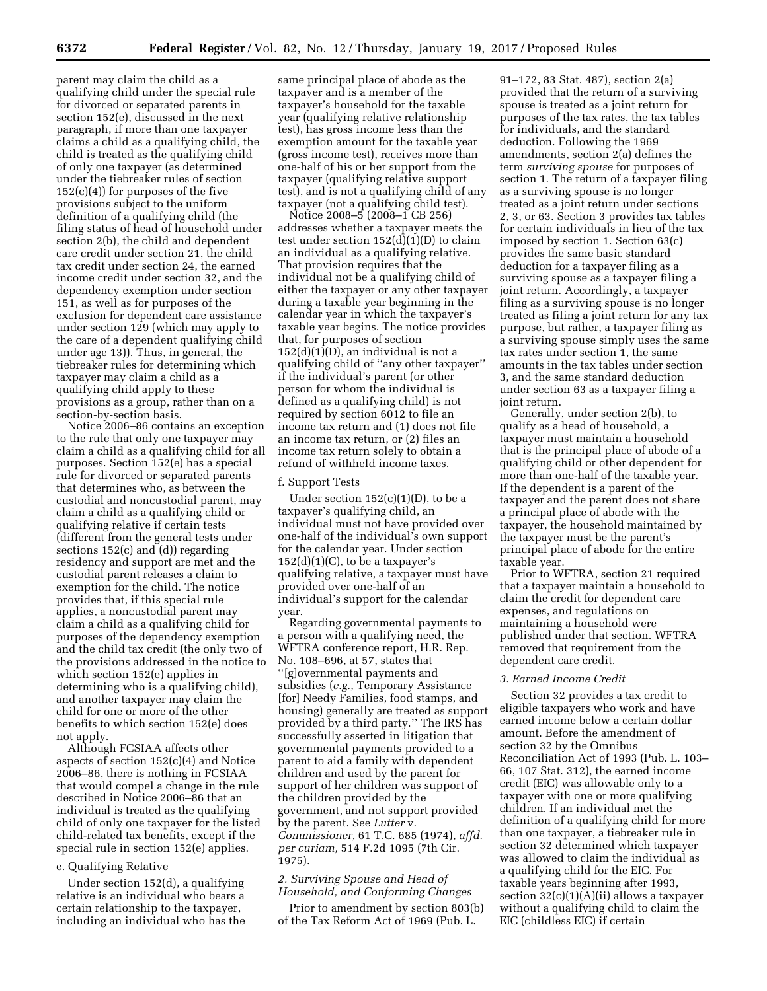parent may claim the child as a qualifying child under the special rule for divorced or separated parents in section 152(e), discussed in the next paragraph, if more than one taxpayer claims a child as a qualifying child, the child is treated as the qualifying child of only one taxpayer (as determined under the tiebreaker rules of section  $152(c)(4)$  for purposes of the five provisions subject to the uniform definition of a qualifying child (the filing status of head of household under section 2(b), the child and dependent care credit under section 21, the child tax credit under section 24, the earned income credit under section 32, and the dependency exemption under section 151, as well as for purposes of the exclusion for dependent care assistance under section 129 (which may apply to the care of a dependent qualifying child under age 13)). Thus, in general, the tiebreaker rules for determining which taxpayer may claim a child as a qualifying child apply to these provisions as a group, rather than on a section-by-section basis.

Notice 2006–86 contains an exception to the rule that only one taxpayer may claim a child as a qualifying child for all purposes. Section 152(e) has a special rule for divorced or separated parents that determines who, as between the custodial and noncustodial parent, may claim a child as a qualifying child or qualifying relative if certain tests (different from the general tests under sections 152(c) and (d)) regarding residency and support are met and the custodial parent releases a claim to exemption for the child. The notice provides that, if this special rule applies, a noncustodial parent may claim a child as a qualifying child for purposes of the dependency exemption and the child tax credit (the only two of the provisions addressed in the notice to which section 152(e) applies in determining who is a qualifying child), and another taxpayer may claim the child for one or more of the other benefits to which section 152(e) does not apply.

Although FCSIAA affects other aspects of section 152(c)(4) and Notice 2006–86, there is nothing in FCSIAA that would compel a change in the rule described in Notice 2006–86 that an individual is treated as the qualifying child of only one taxpayer for the listed child-related tax benefits, except if the special rule in section 152(e) applies.

### e. Qualifying Relative

Under section 152(d), a qualifying relative is an individual who bears a certain relationship to the taxpayer, including an individual who has the same principal place of abode as the taxpayer and is a member of the taxpayer's household for the taxable year (qualifying relative relationship test), has gross income less than the exemption amount for the taxable year (gross income test), receives more than one-half of his or her support from the taxpayer (qualifying relative support test), and is not a qualifying child of any taxpayer (not a qualifying child test).

Notice 2008–5 (2008–1 CB 256) addresses whether a taxpayer meets the test under section 152(d)(1)(D) to claim an individual as a qualifying relative. That provision requires that the individual not be a qualifying child of either the taxpayer or any other taxpayer during a taxable year beginning in the calendar year in which the taxpayer's taxable year begins. The notice provides that, for purposes of section  $152(d)(1)(D)$ , an individual is not a qualifying child of ''any other taxpayer'' if the individual's parent (or other person for whom the individual is defined as a qualifying child) is not required by section 6012 to file an income tax return and (1) does not file an income tax return, or (2) files an income tax return solely to obtain a refund of withheld income taxes.

### f. Support Tests

Under section  $152(c)(1)(D)$ , to be a taxpayer's qualifying child, an individual must not have provided over one-half of the individual's own support for the calendar year. Under section  $152(d)(1)(C)$ , to be a taxpayer's qualifying relative, a taxpayer must have provided over one-half of an individual's support for the calendar year.

Regarding governmental payments to a person with a qualifying need, the WFTRA conference report, H.R. Rep. No. 108–696, at 57, states that ''[g]overnmental payments and subsidies (*e.g.,* Temporary Assistance [for] Needy Families, food stamps, and housing) generally are treated as support provided by a third party.'' The IRS has successfully asserted in litigation that governmental payments provided to a parent to aid a family with dependent children and used by the parent for support of her children was support of the children provided by the government, and not support provided by the parent. See *Lutter* v. *Commissioner,* 61 T.C. 685 (1974), *affd. per curiam,* 514 F.2d 1095 (7th Cir. 1975).

# *2. Surviving Spouse and Head of Household, and Conforming Changes*

Prior to amendment by section 803(b) of the Tax Reform Act of 1969 (Pub. L.

91–172, 83 Stat. 487), section 2(a) provided that the return of a surviving spouse is treated as a joint return for purposes of the tax rates, the tax tables for individuals, and the standard deduction. Following the 1969 amendments, section 2(a) defines the term *surviving spouse* for purposes of section 1. The return of a taxpayer filing as a surviving spouse is no longer treated as a joint return under sections 2, 3, or 63. Section 3 provides tax tables for certain individuals in lieu of the tax imposed by section 1. Section 63(c) provides the same basic standard deduction for a taxpayer filing as a surviving spouse as a taxpayer filing a joint return. Accordingly, a taxpayer filing as a surviving spouse is no longer treated as filing a joint return for any tax purpose, but rather, a taxpayer filing as a surviving spouse simply uses the same tax rates under section 1, the same amounts in the tax tables under section 3, and the same standard deduction under section 63 as a taxpayer filing a joint return.

Generally, under section 2(b), to qualify as a head of household, a taxpayer must maintain a household that is the principal place of abode of a qualifying child or other dependent for more than one-half of the taxable year. If the dependent is a parent of the taxpayer and the parent does not share a principal place of abode with the taxpayer, the household maintained by the taxpayer must be the parent's principal place of abode for the entire taxable year.

Prior to WFTRA, section 21 required that a taxpayer maintain a household to claim the credit for dependent care expenses, and regulations on maintaining a household were published under that section. WFTRA removed that requirement from the dependent care credit.

### *3. Earned Income Credit*

Section 32 provides a tax credit to eligible taxpayers who work and have earned income below a certain dollar amount. Before the amendment of section 32 by the Omnibus Reconciliation Act of 1993 (Pub. L. 103– 66, 107 Stat. 312), the earned income credit (EIC) was allowable only to a taxpayer with one or more qualifying children. If an individual met the definition of a qualifying child for more than one taxpayer, a tiebreaker rule in section 32 determined which taxpayer was allowed to claim the individual as a qualifying child for the EIC. For taxable years beginning after 1993, section 32(c)(1)(A)(ii) allows a taxpayer without a qualifying child to claim the EIC (childless EIC) if certain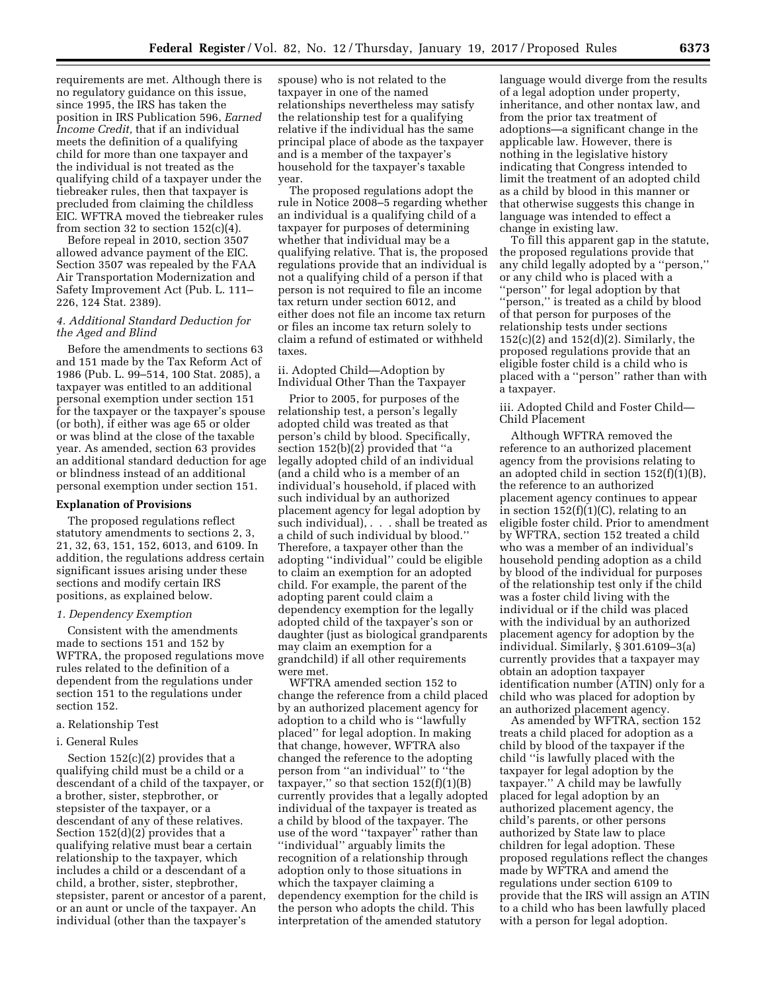requirements are met. Although there is no regulatory guidance on this issue, since 1995, the IRS has taken the position in IRS Publication 596, *Earned Income Credit,* that if an individual meets the definition of a qualifying child for more than one taxpayer and the individual is not treated as the qualifying child of a taxpayer under the tiebreaker rules, then that taxpayer is precluded from claiming the childless EIC. WFTRA moved the tiebreaker rules from section 32 to section  $152(c)(4)$ .

Before repeal in 2010, section 3507 allowed advance payment of the EIC. Section 3507 was repealed by the FAA Air Transportation Modernization and Safety Improvement Act (Pub. L. 111– 226, 124 Stat. 2389).

# *4. Additional Standard Deduction for the Aged and Blind*

Before the amendments to sections 63 and 151 made by the Tax Reform Act of 1986 (Pub. L. 99–514, 100 Stat. 2085), a taxpayer was entitled to an additional personal exemption under section 151 for the taxpayer or the taxpayer's spouse (or both), if either was age 65 or older or was blind at the close of the taxable year. As amended, section 63 provides an additional standard deduction for age or blindness instead of an additional personal exemption under section 151.

#### **Explanation of Provisions**

The proposed regulations reflect statutory amendments to sections 2, 3, 21, 32, 63, 151, 152, 6013, and 6109. In addition, the regulations address certain significant issues arising under these sections and modify certain IRS positions, as explained below.

#### *1. Dependency Exemption*

Consistent with the amendments made to sections 151 and 152 by WFTRA, the proposed regulations move rules related to the definition of a dependent from the regulations under section 151 to the regulations under section 152.

a. Relationship Test

### i. General Rules

Section 152(c)(2) provides that a qualifying child must be a child or a descendant of a child of the taxpayer, or a brother, sister, stepbrother, or stepsister of the taxpayer, or a descendant of any of these relatives. Section 152(d)(2) provides that a qualifying relative must bear a certain relationship to the taxpayer, which includes a child or a descendant of a child, a brother, sister, stepbrother, stepsister, parent or ancestor of a parent, or an aunt or uncle of the taxpayer. An individual (other than the taxpayer's

spouse) who is not related to the taxpayer in one of the named relationships nevertheless may satisfy the relationship test for a qualifying relative if the individual has the same principal place of abode as the taxpayer and is a member of the taxpayer's household for the taxpayer's taxable year.

The proposed regulations adopt the rule in Notice 2008–5 regarding whether an individual is a qualifying child of a taxpayer for purposes of determining whether that individual may be a qualifying relative. That is, the proposed regulations provide that an individual is not a qualifying child of a person if that person is not required to file an income tax return under section 6012, and either does not file an income tax return or files an income tax return solely to claim a refund of estimated or withheld taxes.

## ii. Adopted Child—Adoption by Individual Other Than the Taxpayer

Prior to 2005, for purposes of the relationship test, a person's legally adopted child was treated as that person's child by blood. Specifically, section 152(b)(2) provided that ''a legally adopted child of an individual (and a child who is a member of an individual's household, if placed with such individual by an authorized placement agency for legal adoption by such individual), . . . shall be treated as a child of such individual by blood.'' Therefore, a taxpayer other than the adopting ''individual'' could be eligible to claim an exemption for an adopted child. For example, the parent of the adopting parent could claim a dependency exemption for the legally adopted child of the taxpayer's son or daughter (just as biological grandparents may claim an exemption for a grandchild) if all other requirements were met.

WFTRA amended section 152 to change the reference from a child placed by an authorized placement agency for adoption to a child who is ''lawfully placed'' for legal adoption. In making that change, however, WFTRA also changed the reference to the adopting person from ''an individual'' to ''the taxpayer," so that section  $152(f)(1)(B)$ currently provides that a legally adopted individual of the taxpayer is treated as a child by blood of the taxpayer. The use of the word ''taxpayer'' rather than ''individual'' arguably limits the recognition of a relationship through adoption only to those situations in which the taxpayer claiming a dependency exemption for the child is the person who adopts the child. This interpretation of the amended statutory

language would diverge from the results of a legal adoption under property, inheritance, and other nontax law, and from the prior tax treatment of adoptions—a significant change in the applicable law. However, there is nothing in the legislative history indicating that Congress intended to limit the treatment of an adopted child as a child by blood in this manner or that otherwise suggests this change in language was intended to effect a change in existing law.

To fill this apparent gap in the statute, the proposed regulations provide that any child legally adopted by a ''person,'' or any child who is placed with a ''person'' for legal adoption by that "person," is treated as a child by blood of that person for purposes of the relationship tests under sections 152(c)(2) and 152(d)(2). Similarly, the proposed regulations provide that an eligible foster child is a child who is placed with a ''person'' rather than with a taxpayer.

iii. Adopted Child and Foster Child— Child Placement

Although WFTRA removed the reference to an authorized placement agency from the provisions relating to an adopted child in section 152(f)(1)(B), the reference to an authorized placement agency continues to appear in section 152(f)(1)(C), relating to an eligible foster child. Prior to amendment by WFTRA, section 152 treated a child who was a member of an individual's household pending adoption as a child by blood of the individual for purposes of the relationship test only if the child was a foster child living with the individual or if the child was placed with the individual by an authorized placement agency for adoption by the individual. Similarly, § 301.6109–3(a) currently provides that a taxpayer may obtain an adoption taxpayer identification number (ATIN) only for a child who was placed for adoption by an authorized placement agency.

As amended by WFTRA, section 152 treats a child placed for adoption as a child by blood of the taxpayer if the child ''is lawfully placed with the taxpayer for legal adoption by the taxpayer.'' A child may be lawfully placed for legal adoption by an authorized placement agency, the child's parents, or other persons authorized by State law to place children for legal adoption. These proposed regulations reflect the changes made by WFTRA and amend the regulations under section 6109 to provide that the IRS will assign an ATIN to a child who has been lawfully placed with a person for legal adoption.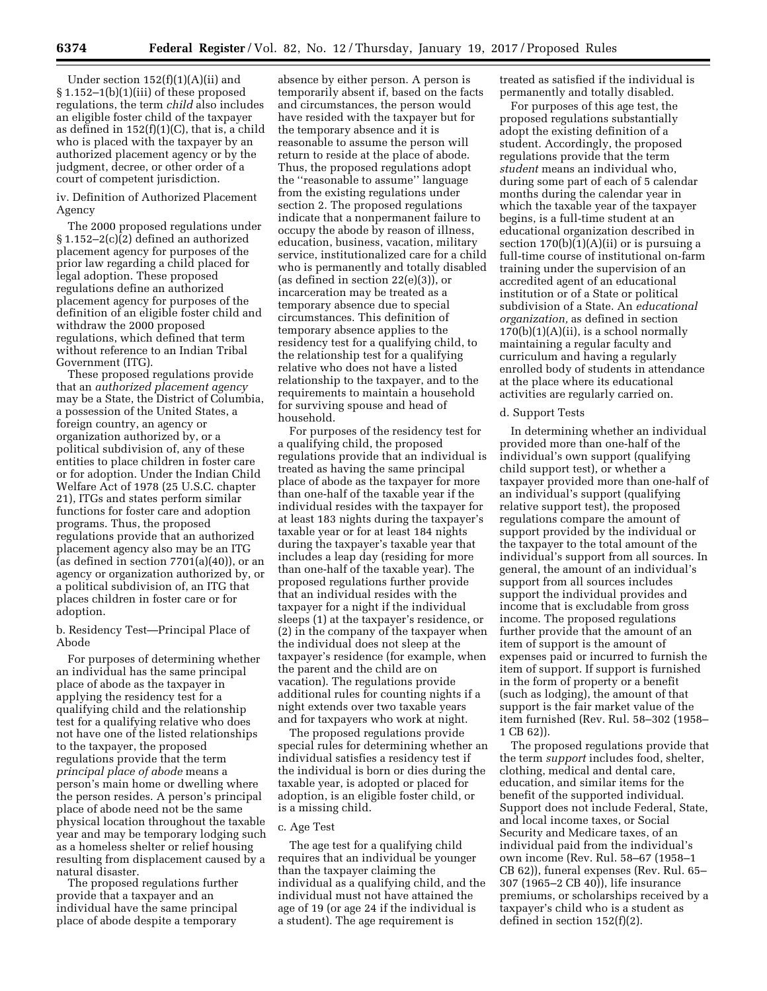Under section  $152(f)(1)(A)(ii)$  and § 1.152–1(b)(1)(iii) of these proposed regulations, the term *child* also includes an eligible foster child of the taxpayer as defined in  $152(f)(1)(C)$ , that is, a child who is placed with the taxpayer by an authorized placement agency or by the judgment, decree, or other order of a court of competent jurisdiction.

iv. Definition of Authorized Placement Agency

The 2000 proposed regulations under § 1.152–2(c)(2) defined an authorized placement agency for purposes of the prior law regarding a child placed for legal adoption. These proposed regulations define an authorized placement agency for purposes of the definition of an eligible foster child and withdraw the 2000 proposed regulations, which defined that term without reference to an Indian Tribal Government (ITG).

These proposed regulations provide that an *authorized placement agency*  may be a State, the District of Columbia, a possession of the United States, a foreign country, an agency or organization authorized by, or a political subdivision of, any of these entities to place children in foster care or for adoption. Under the Indian Child Welfare Act of 1978 (25 U.S.C. chapter 21), ITGs and states perform similar functions for foster care and adoption programs. Thus, the proposed regulations provide that an authorized placement agency also may be an ITG (as defined in section 7701(a)(40)), or an agency or organization authorized by, or a political subdivision of, an ITG that places children in foster care or for adoption.

b. Residency Test—Principal Place of Abode

For purposes of determining whether an individual has the same principal place of abode as the taxpayer in applying the residency test for a qualifying child and the relationship test for a qualifying relative who does not have one of the listed relationships to the taxpayer, the proposed regulations provide that the term *principal place of abode* means a person's main home or dwelling where the person resides. A person's principal place of abode need not be the same physical location throughout the taxable year and may be temporary lodging such as a homeless shelter or relief housing resulting from displacement caused by a natural disaster.

The proposed regulations further provide that a taxpayer and an individual have the same principal place of abode despite a temporary

absence by either person. A person is temporarily absent if, based on the facts and circumstances, the person would have resided with the taxpayer but for the temporary absence and it is reasonable to assume the person will return to reside at the place of abode. Thus, the proposed regulations adopt the ''reasonable to assume'' language from the existing regulations under section 2. The proposed regulations indicate that a nonpermanent failure to occupy the abode by reason of illness, education, business, vacation, military service, institutionalized care for a child who is permanently and totally disabled (as defined in section 22(e)(3)), or incarceration may be treated as a temporary absence due to special circumstances. This definition of temporary absence applies to the residency test for a qualifying child, to the relationship test for a qualifying relative who does not have a listed relationship to the taxpayer, and to the requirements to maintain a household for surviving spouse and head of household.

For purposes of the residency test for a qualifying child, the proposed regulations provide that an individual is treated as having the same principal place of abode as the taxpayer for more than one-half of the taxable year if the individual resides with the taxpayer for at least 183 nights during the taxpayer's taxable year or for at least 184 nights during the taxpayer's taxable year that includes a leap day (residing for more than one-half of the taxable year). The proposed regulations further provide that an individual resides with the taxpayer for a night if the individual sleeps (1) at the taxpayer's residence, or (2) in the company of the taxpayer when the individual does not sleep at the taxpayer's residence (for example, when the parent and the child are on vacation). The regulations provide additional rules for counting nights if a night extends over two taxable years and for taxpayers who work at night.

The proposed regulations provide special rules for determining whether an individual satisfies a residency test if the individual is born or dies during the taxable year, is adopted or placed for adoption, is an eligible foster child, or is a missing child.

#### c. Age Test

The age test for a qualifying child requires that an individual be younger than the taxpayer claiming the individual as a qualifying child, and the individual must not have attained the age of 19 (or age 24 if the individual is a student). The age requirement is

treated as satisfied if the individual is permanently and totally disabled.

For purposes of this age test, the proposed regulations substantially adopt the existing definition of a student. Accordingly, the proposed regulations provide that the term *student* means an individual who, during some part of each of 5 calendar months during the calendar year in which the taxable year of the taxpayer begins, is a full-time student at an educational organization described in section  $170(b)(1)(A)(ii)$  or is pursuing a full-time course of institutional on-farm training under the supervision of an accredited agent of an educational institution or of a State or political subdivision of a State. An *educational organization,* as defined in section  $170(b)(1)(A)(ii)$ , is a school normally maintaining a regular faculty and curriculum and having a regularly enrolled body of students in attendance at the place where its educational activities are regularly carried on.

### d. Support Tests

In determining whether an individual provided more than one-half of the individual's own support (qualifying child support test), or whether a taxpayer provided more than one-half of an individual's support (qualifying relative support test), the proposed regulations compare the amount of support provided by the individual or the taxpayer to the total amount of the individual's support from all sources. In general, the amount of an individual's support from all sources includes support the individual provides and income that is excludable from gross income. The proposed regulations further provide that the amount of an item of support is the amount of expenses paid or incurred to furnish the item of support. If support is furnished in the form of property or a benefit (such as lodging), the amount of that support is the fair market value of the item furnished (Rev. Rul. 58–302 (1958– 1 CB 62)).

The proposed regulations provide that the term *support* includes food, shelter, clothing, medical and dental care, education, and similar items for the benefit of the supported individual. Support does not include Federal, State, and local income taxes, or Social Security and Medicare taxes, of an individual paid from the individual's own income (Rev. Rul. 58–67 (1958–1 CB 62)), funeral expenses (Rev. Rul. 65– 307 (1965–2 CB 40)), life insurance premiums, or scholarships received by a taxpayer's child who is a student as defined in section 152(f)(2).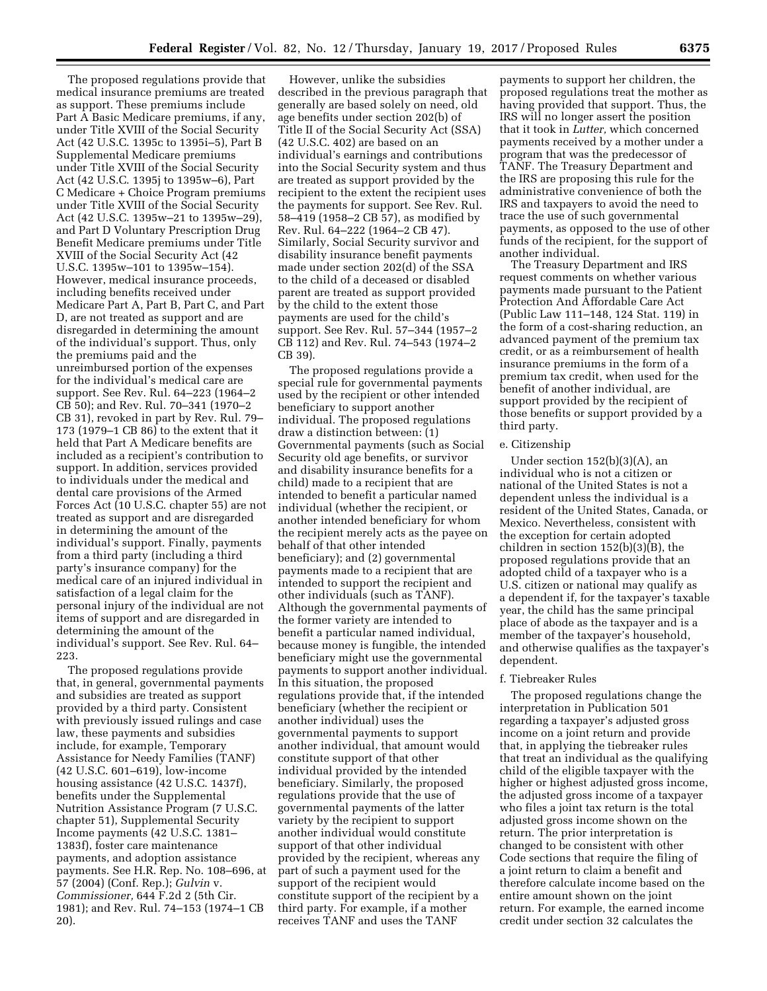The proposed regulations provide that medical insurance premiums are treated as support. These premiums include Part A Basic Medicare premiums, if any, under Title XVIII of the Social Security Act (42 U.S.C. 1395c to 1395i–5), Part B Supplemental Medicare premiums under Title XVIII of the Social Security Act (42 U.S.C. 1395j to 1395w–6), Part C Medicare + Choice Program premiums under Title XVIII of the Social Security Act (42 U.S.C. 1395w–21 to 1395w–29), and Part D Voluntary Prescription Drug Benefit Medicare premiums under Title XVIII of the Social Security Act (42 U.S.C. 1395w–101 to 1395w–154). However, medical insurance proceeds, including benefits received under Medicare Part A, Part B, Part C, and Part D, are not treated as support and are disregarded in determining the amount of the individual's support. Thus, only the premiums paid and the unreimbursed portion of the expenses for the individual's medical care are support. See Rev. Rul. 64–223 (1964–2 CB 50); and Rev. Rul. 70–341 (1970–2 CB 31), revoked in part by Rev. Rul. 79– 173 (1979–1 CB 86) to the extent that it held that Part A Medicare benefits are included as a recipient's contribution to support. In addition, services provided to individuals under the medical and dental care provisions of the Armed Forces Act (10 U.S.C. chapter 55) are not treated as support and are disregarded in determining the amount of the individual's support. Finally, payments from a third party (including a third party's insurance company) for the medical care of an injured individual in satisfaction of a legal claim for the personal injury of the individual are not items of support and are disregarded in determining the amount of the individual's support. See Rev. Rul. 64– 223.

The proposed regulations provide that, in general, governmental payments and subsidies are treated as support provided by a third party. Consistent with previously issued rulings and case law, these payments and subsidies include, for example, Temporary Assistance for Needy Families (TANF) (42 U.S.C. 601–619), low-income housing assistance (42 U.S.C. 1437f), benefits under the Supplemental Nutrition Assistance Program (7 U.S.C. chapter 51), Supplemental Security Income payments (42 U.S.C. 1381– 1383f), foster care maintenance payments, and adoption assistance payments. See H.R. Rep. No. 108–696, at 57 (2004) (Conf. Rep.); *Gulvin* v. *Commissioner,* 644 F.2d 2 (5th Cir. 1981); and Rev. Rul. 74–153 (1974–1 CB 20).

However, unlike the subsidies described in the previous paragraph that generally are based solely on need, old age benefits under section 202(b) of Title II of the Social Security Act (SSA) (42 U.S.C. 402) are based on an individual's earnings and contributions into the Social Security system and thus are treated as support provided by the recipient to the extent the recipient uses the payments for support. See Rev. Rul. 58–419 (1958–2 CB 57), as modified by Rev. Rul. 64–222 (1964–2 CB 47). Similarly, Social Security survivor and disability insurance benefit payments made under section 202(d) of the SSA to the child of a deceased or disabled parent are treated as support provided by the child to the extent those payments are used for the child's support. See Rev. Rul. 57–344 (1957–2 CB 112) and Rev. Rul. 74–543 (1974–2 CB 39).

The proposed regulations provide a special rule for governmental payments used by the recipient or other intended beneficiary to support another individual. The proposed regulations draw a distinction between: (1) Governmental payments (such as Social Security old age benefits, or survivor and disability insurance benefits for a child) made to a recipient that are intended to benefit a particular named individual (whether the recipient, or another intended beneficiary for whom the recipient merely acts as the payee on behalf of that other intended beneficiary); and (2) governmental payments made to a recipient that are intended to support the recipient and other individuals (such as TANF). Although the governmental payments of the former variety are intended to benefit a particular named individual, because money is fungible, the intended beneficiary might use the governmental payments to support another individual. In this situation, the proposed regulations provide that, if the intended beneficiary (whether the recipient or another individual) uses the governmental payments to support another individual, that amount would constitute support of that other individual provided by the intended beneficiary. Similarly, the proposed regulations provide that the use of governmental payments of the latter variety by the recipient to support another individual would constitute support of that other individual provided by the recipient, whereas any part of such a payment used for the support of the recipient would constitute support of the recipient by a third party. For example, if a mother receives TANF and uses the TANF

payments to support her children, the proposed regulations treat the mother as having provided that support. Thus, the IRS will no longer assert the position that it took in *Lutter,* which concerned payments received by a mother under a program that was the predecessor of TANF. The Treasury Department and the IRS are proposing this rule for the administrative convenience of both the IRS and taxpayers to avoid the need to trace the use of such governmental payments, as opposed to the use of other funds of the recipient, for the support of another individual.

The Treasury Department and IRS request comments on whether various payments made pursuant to the Patient Protection And Affordable Care Act (Public Law 111–148, 124 Stat. 119) in the form of a cost-sharing reduction, an advanced payment of the premium tax credit, or as a reimbursement of health insurance premiums in the form of a premium tax credit, when used for the benefit of another individual, are support provided by the recipient of those benefits or support provided by a third party.

## e. Citizenship

Under section 152(b)(3)(A), an individual who is not a citizen or national of the United States is not a dependent unless the individual is a resident of the United States, Canada, or Mexico. Nevertheless, consistent with the exception for certain adopted children in section 152(b)(3)(B), the proposed regulations provide that an adopted child of a taxpayer who is a U.S. citizen or national may qualify as a dependent if, for the taxpayer's taxable year, the child has the same principal place of abode as the taxpayer and is a member of the taxpayer's household, and otherwise qualifies as the taxpayer's dependent.

#### f. Tiebreaker Rules

The proposed regulations change the interpretation in Publication 501 regarding a taxpayer's adjusted gross income on a joint return and provide that, in applying the tiebreaker rules that treat an individual as the qualifying child of the eligible taxpayer with the higher or highest adjusted gross income, the adjusted gross income of a taxpayer who files a joint tax return is the total adjusted gross income shown on the return. The prior interpretation is changed to be consistent with other Code sections that require the filing of a joint return to claim a benefit and therefore calculate income based on the entire amount shown on the joint return. For example, the earned income credit under section 32 calculates the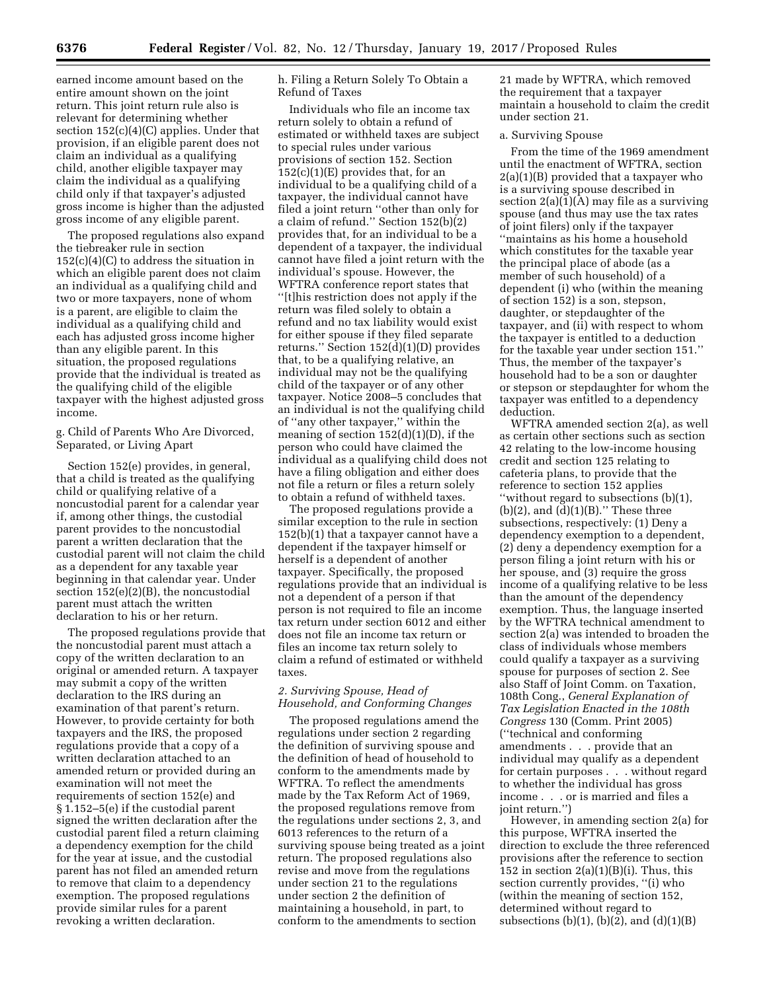earned income amount based on the entire amount shown on the joint return. This joint return rule also is relevant for determining whether section 152(c)(4)(C) applies. Under that provision, if an eligible parent does not claim an individual as a qualifying child, another eligible taxpayer may claim the individual as a qualifying child only if that taxpayer's adjusted gross income is higher than the adjusted gross income of any eligible parent.

The proposed regulations also expand the tiebreaker rule in section  $152(c)(4)(C)$  to address the situation in which an eligible parent does not claim an individual as a qualifying child and two or more taxpayers, none of whom is a parent, are eligible to claim the individual as a qualifying child and each has adjusted gross income higher than any eligible parent. In this situation, the proposed regulations provide that the individual is treated as the qualifying child of the eligible taxpayer with the highest adjusted gross income.

g. Child of Parents Who Are Divorced, Separated, or Living Apart

Section 152(e) provides, in general, that a child is treated as the qualifying child or qualifying relative of a noncustodial parent for a calendar year if, among other things, the custodial parent provides to the noncustodial parent a written declaration that the custodial parent will not claim the child as a dependent for any taxable year beginning in that calendar year. Under section 152(e)(2)(B), the noncustodial parent must attach the written declaration to his or her return.

The proposed regulations provide that the noncustodial parent must attach a copy of the written declaration to an original or amended return. A taxpayer may submit a copy of the written declaration to the IRS during an examination of that parent's return. However, to provide certainty for both taxpayers and the IRS, the proposed regulations provide that a copy of a written declaration attached to an amended return or provided during an examination will not meet the requirements of section 152(e) and § 1.152–5(e) if the custodial parent signed the written declaration after the custodial parent filed a return claiming a dependency exemption for the child for the year at issue, and the custodial parent has not filed an amended return to remove that claim to a dependency exemption. The proposed regulations provide similar rules for a parent revoking a written declaration.

h. Filing a Return Solely To Obtain a Refund of Taxes

Individuals who file an income tax return solely to obtain a refund of estimated or withheld taxes are subject to special rules under various provisions of section 152. Section  $152(c)(1)(E)$  provides that, for an individual to be a qualifying child of a taxpayer, the individual cannot have filed a joint return ''other than only for a claim of refund.'' Section 152(b)(2) provides that, for an individual to be a dependent of a taxpayer, the individual cannot have filed a joint return with the individual's spouse. However, the WFTRA conference report states that ''[t]his restriction does not apply if the return was filed solely to obtain a refund and no tax liability would exist for either spouse if they filed separate returns.'' Section 152(d)(1)(D) provides that, to be a qualifying relative, an individual may not be the qualifying child of the taxpayer or of any other taxpayer. Notice 2008–5 concludes that an individual is not the qualifying child of ''any other taxpayer,'' within the meaning of section 152(d)(1)(D), if the person who could have claimed the individual as a qualifying child does not have a filing obligation and either does not file a return or files a return solely to obtain a refund of withheld taxes.

The proposed regulations provide a similar exception to the rule in section 152(b)(1) that a taxpayer cannot have a dependent if the taxpayer himself or herself is a dependent of another taxpayer. Specifically, the proposed regulations provide that an individual is not a dependent of a person if that person is not required to file an income tax return under section 6012 and either does not file an income tax return or files an income tax return solely to claim a refund of estimated or withheld taxes.

# *2. Surviving Spouse, Head of Household, and Conforming Changes*

The proposed regulations amend the regulations under section 2 regarding the definition of surviving spouse and the definition of head of household to conform to the amendments made by WFTRA. To reflect the amendments made by the Tax Reform Act of 1969, the proposed regulations remove from the regulations under sections 2, 3, and 6013 references to the return of a surviving spouse being treated as a joint return. The proposed regulations also revise and move from the regulations under section 21 to the regulations under section 2 the definition of maintaining a household, in part, to conform to the amendments to section

21 made by WFTRA, which removed the requirement that a taxpayer maintain a household to claim the credit under section 21.

### a. Surviving Spouse

From the time of the 1969 amendment until the enactment of WFTRA, section 2(a)(1)(B) provided that a taxpayer who is a surviving spouse described in section  $2(a)(1)(A)$  may file as a surviving spouse (and thus may use the tax rates of joint filers) only if the taxpayer ''maintains as his home a household which constitutes for the taxable year the principal place of abode (as a member of such household) of a dependent (i) who (within the meaning of section 152) is a son, stepson, daughter, or stepdaughter of the taxpayer, and (ii) with respect to whom the taxpayer is entitled to a deduction for the taxable year under section 151.'' Thus, the member of the taxpayer's household had to be a son or daughter or stepson or stepdaughter for whom the taxpayer was entitled to a dependency deduction.

WFTRA amended section 2(a), as well as certain other sections such as section 42 relating to the low-income housing credit and section 125 relating to cafeteria plans, to provide that the reference to section 152 applies ''without regard to subsections (b)(1),  $(b)(2)$ , and  $(d)(1)(B)$ ." These three subsections, respectively: (1) Deny a dependency exemption to a dependent, (2) deny a dependency exemption for a person filing a joint return with his or her spouse, and (3) require the gross income of a qualifying relative to be less than the amount of the dependency exemption. Thus, the language inserted by the WFTRA technical amendment to section 2(a) was intended to broaden the class of individuals whose members could qualify a taxpayer as a surviving spouse for purposes of section 2. See also Staff of Joint Comm. on Taxation, 108th Cong., *General Explanation of Tax Legislation Enacted in the 108th Congress* 130 (Comm. Print 2005) (''technical and conforming amendments . . . provide that an individual may qualify as a dependent for certain purposes . . . without regard to whether the individual has gross income . . . or is married and files a joint return.'')

However, in amending section 2(a) for this purpose, WFTRA inserted the direction to exclude the three referenced provisions after the reference to section 152 in section  $2(a)(1)(B)(i)$ . Thus, this section currently provides, ''(i) who (within the meaning of section 152, determined without regard to subsections  $(b)(1)$ ,  $(b)(2)$ , and  $(d)(1)(B)$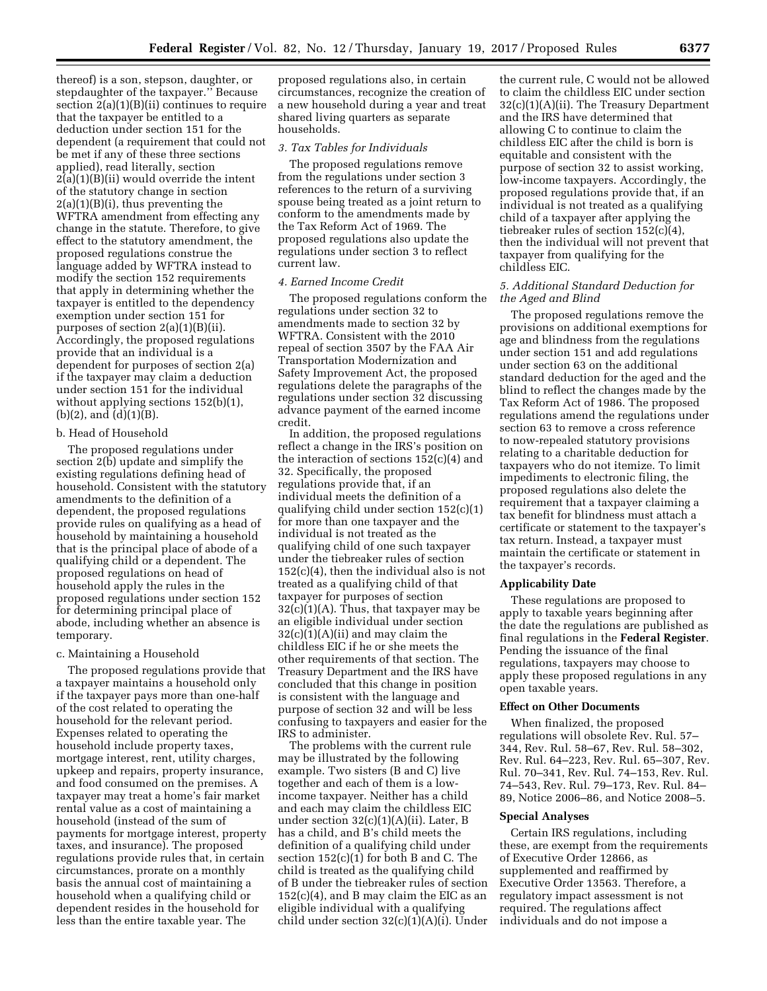thereof) is a son, stepson, daughter, or stepdaughter of the taxpayer.'' Because section  $2(a)(1)(B)(ii)$  continues to require that the taxpayer be entitled to a deduction under section 151 for the dependent (a requirement that could not be met if any of these three sections applied), read literally, section  $2(a)(1)(B)(ii)$  would override the intent of the statutory change in section  $2(a)(1)(B)(i)$ , thus preventing the WFTRA amendment from effecting any change in the statute. Therefore, to give effect to the statutory amendment, the proposed regulations construe the language added by WFTRA instead to modify the section 152 requirements that apply in determining whether the taxpayer is entitled to the dependency exemption under section 151 for purposes of section 2(a)(1)(B)(ii). Accordingly, the proposed regulations provide that an individual is a dependent for purposes of section 2(a) if the taxpayer may claim a deduction under section 151 for the individual without applying sections 152(b)(1),  $(b)(2)$ , and  $(d)(1)(B)$ .

## b. Head of Household

The proposed regulations under section 2(b) update and simplify the existing regulations defining head of household. Consistent with the statutory amendments to the definition of a dependent, the proposed regulations provide rules on qualifying as a head of household by maintaining a household that is the principal place of abode of a qualifying child or a dependent. The proposed regulations on head of household apply the rules in the proposed regulations under section 152 for determining principal place of abode, including whether an absence is temporary.

### c. Maintaining a Household

The proposed regulations provide that a taxpayer maintains a household only if the taxpayer pays more than one-half of the cost related to operating the household for the relevant period. Expenses related to operating the household include property taxes, mortgage interest, rent, utility charges, upkeep and repairs, property insurance, and food consumed on the premises. A taxpayer may treat a home's fair market rental value as a cost of maintaining a household (instead of the sum of payments for mortgage interest, property taxes, and insurance). The proposed regulations provide rules that, in certain circumstances, prorate on a monthly basis the annual cost of maintaining a household when a qualifying child or dependent resides in the household for less than the entire taxable year. The

proposed regulations also, in certain circumstances, recognize the creation of a new household during a year and treat shared living quarters as separate households.

### *3. Tax Tables for Individuals*

The proposed regulations remove from the regulations under section 3 references to the return of a surviving spouse being treated as a joint return to conform to the amendments made by the Tax Reform Act of 1969. The proposed regulations also update the regulations under section 3 to reflect current law.

## *4. Earned Income Credit*

The proposed regulations conform the regulations under section 32 to amendments made to section 32 by WFTRA. Consistent with the 2010 repeal of section 3507 by the FAA Air Transportation Modernization and Safety Improvement Act, the proposed regulations delete the paragraphs of the regulations under section 32 discussing advance payment of the earned income credit.

In addition, the proposed regulations reflect a change in the IRS's position on the interaction of sections  $152(c)(4)$  and 32. Specifically, the proposed regulations provide that, if an individual meets the definition of a qualifying child under section 152(c)(1) for more than one taxpayer and the individual is not treated as the qualifying child of one such taxpayer under the tiebreaker rules of section 152(c)(4), then the individual also is not treated as a qualifying child of that taxpayer for purposes of section  $32(c)(1)(A)$ . Thus, that taxpayer may be an eligible individual under section  $32(c)(1)(A)(ii)$  and may claim the childless EIC if he or she meets the other requirements of that section. The Treasury Department and the IRS have concluded that this change in position is consistent with the language and purpose of section 32 and will be less confusing to taxpayers and easier for the IRS to administer.

The problems with the current rule may be illustrated by the following example. Two sisters (B and C) live together and each of them is a lowincome taxpayer. Neither has a child and each may claim the childless EIC under section 32(c)(1)(A)(ii). Later, B has a child, and B's child meets the definition of a qualifying child under section  $152(c)(1)$  for both B and C. The child is treated as the qualifying child of B under the tiebreaker rules of section 152(c)(4), and B may claim the EIC as an eligible individual with a qualifying child under section 32(c)(1)(A)(i). Under

the current rule, C would not be allowed to claim the childless EIC under section 32(c)(1)(A)(ii). The Treasury Department and the IRS have determined that allowing C to continue to claim the childless EIC after the child is born is equitable and consistent with the purpose of section 32 to assist working, low-income taxpayers. Accordingly, the proposed regulations provide that, if an individual is not treated as a qualifying child of a taxpayer after applying the tiebreaker rules of section 152(c)(4), then the individual will not prevent that taxpayer from qualifying for the childless EIC.

### *5. Additional Standard Deduction for the Aged and Blind*

The proposed regulations remove the provisions on additional exemptions for age and blindness from the regulations under section 151 and add regulations under section 63 on the additional standard deduction for the aged and the blind to reflect the changes made by the Tax Reform Act of 1986. The proposed regulations amend the regulations under section 63 to remove a cross reference to now-repealed statutory provisions relating to a charitable deduction for taxpayers who do not itemize. To limit impediments to electronic filing, the proposed regulations also delete the requirement that a taxpayer claiming a tax benefit for blindness must attach a certificate or statement to the taxpayer's tax return. Instead, a taxpayer must maintain the certificate or statement in the taxpayer's records.

## **Applicability Date**

These regulations are proposed to apply to taxable years beginning after the date the regulations are published as final regulations in the **Federal Register**. Pending the issuance of the final regulations, taxpayers may choose to apply these proposed regulations in any open taxable years.

#### **Effect on Other Documents**

When finalized, the proposed regulations will obsolete Rev. Rul. 57– 344, Rev. Rul. 58–67, Rev. Rul. 58–302, Rev. Rul. 64–223, Rev. Rul. 65–307, Rev. Rul. 70–341, Rev. Rul. 74–153, Rev. Rul. 74–543, Rev. Rul. 79–173, Rev. Rul. 84– 89, Notice 2006–86, and Notice 2008–5.

#### **Special Analyses**

Certain IRS regulations, including these, are exempt from the requirements of Executive Order 12866, as supplemented and reaffirmed by Executive Order 13563. Therefore, a regulatory impact assessment is not required. The regulations affect individuals and do not impose a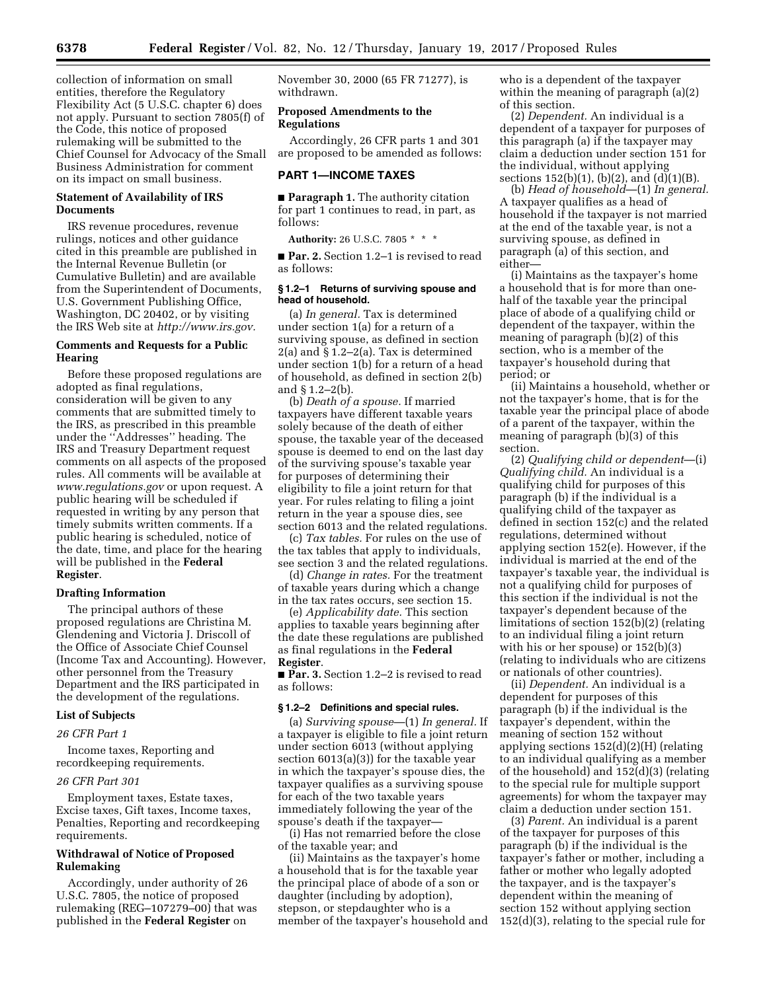collection of information on small entities, therefore the Regulatory Flexibility Act (5 U.S.C. chapter 6) does not apply. Pursuant to section 7805(f) of the Code, this notice of proposed rulemaking will be submitted to the Chief Counsel for Advocacy of the Small Business Administration for comment on its impact on small business.

## **Statement of Availability of IRS Documents**

IRS revenue procedures, revenue rulings, notices and other guidance cited in this preamble are published in the Internal Revenue Bulletin (or Cumulative Bulletin) and are available from the Superintendent of Documents, U.S. Government Publishing Office, Washington, DC 20402, or by visiting the IRS Web site at *[http://www.irs.gov.](http://www.irs.gov)* 

### **Comments and Requests for a Public Hearing**

Before these proposed regulations are adopted as final regulations, consideration will be given to any comments that are submitted timely to the IRS, as prescribed in this preamble under the ''Addresses'' heading. The IRS and Treasury Department request comments on all aspects of the proposed rules. All comments will be available at *[www.regulations.gov](http://www.regulations.gov)* or upon request. A public hearing will be scheduled if requested in writing by any person that timely submits written comments. If a public hearing is scheduled, notice of the date, time, and place for the hearing will be published in the **Federal Register**.

### **Drafting Information**

The principal authors of these proposed regulations are Christina M. Glendening and Victoria J. Driscoll of the Office of Associate Chief Counsel (Income Tax and Accounting). However, other personnel from the Treasury Department and the IRS participated in the development of the regulations.

## **List of Subjects**

*26 CFR Part 1* 

Income taxes, Reporting and recordkeeping requirements.

#### *26 CFR Part 301*

Employment taxes, Estate taxes, Excise taxes, Gift taxes, Income taxes, Penalties, Reporting and recordkeeping requirements.

## **Withdrawal of Notice of Proposed Rulemaking**

Accordingly, under authority of 26 U.S.C. 7805, the notice of proposed rulemaking (REG–107279–00) that was published in the **Federal Register** on

November 30, 2000 (65 FR 71277), is withdrawn.

## **Proposed Amendments to the Regulations**

Accordingly, 26 CFR parts 1 and 301 are proposed to be amended as follows:

### **PART 1—INCOME TAXES**

■ **Paragraph 1.** The authority citation for part 1 continues to read, in part, as follows:

**Authority:** 26 U.S.C. 7805 \* \* \*

■ **Par. 2.** Section 1.2–1 is revised to read as follows:

#### **§ 1.2–1 Returns of surviving spouse and head of household.**

(a) *In general.* Tax is determined under section 1(a) for a return of a surviving spouse, as defined in section 2(a) and § 1.2–2(a). Tax is determined under section 1(b) for a return of a head of household, as defined in section 2(b) and § 1.2–2(b).

(b) *Death of a spouse.* If married taxpayers have different taxable years solely because of the death of either spouse, the taxable year of the deceased spouse is deemed to end on the last day of the surviving spouse's taxable year for purposes of determining their eligibility to file a joint return for that year. For rules relating to filing a joint return in the year a spouse dies, see section 6013 and the related regulations.

(c) *Tax tables.* For rules on the use of the tax tables that apply to individuals, see section 3 and the related regulations.

(d) *Change in rates.* For the treatment of taxable years during which a change in the tax rates occurs, see section 15.

(e) *Applicability date.* This section applies to taxable years beginning after the date these regulations are published as final regulations in the **Federal Register**.

■ **Par. 3.** Section 1.2–2 is revised to read as follows:

### **§ 1.2–2 Definitions and special rules.**

(a) *Surviving spouse*—(1) *In general.* If a taxpayer is eligible to file a joint return under section 6013 (without applying section 6013(a)(3)) for the taxable year in which the taxpayer's spouse dies, the taxpayer qualifies as a surviving spouse for each of the two taxable years immediately following the year of the spouse's death if the taxpayer—

(i) Has not remarried before the close of the taxable year; and

(ii) Maintains as the taxpayer's home a household that is for the taxable year the principal place of abode of a son or daughter (including by adoption), stepson, or stepdaughter who is a member of the taxpayer's household and who is a dependent of the taxpayer within the meaning of paragraph (a)(2) of this section.

(2) *Dependent.* An individual is a dependent of a taxpayer for purposes of this paragraph (a) if the taxpayer may claim a deduction under section 151 for the individual, without applying sections 152(b)(1), (b)(2), and (d)(1)(B).

(b) *Head of household*—(1) *In general.*  A taxpayer qualifies as a head of household if the taxpayer is not married at the end of the taxable year, is not a surviving spouse, as defined in paragraph (a) of this section, and either—

(i) Maintains as the taxpayer's home a household that is for more than onehalf of the taxable year the principal place of abode of a qualifying child or dependent of the taxpayer, within the meaning of paragraph (b)(2) of this section, who is a member of the taxpayer's household during that period; or

(ii) Maintains a household, whether or not the taxpayer's home, that is for the taxable year the principal place of abode of a parent of the taxpayer, within the meaning of paragraph (b)(3) of this section.

(2) *Qualifying child or dependent*—(i) *Qualifying child.* An individual is a qualifying child for purposes of this paragraph (b) if the individual is a qualifying child of the taxpayer as defined in section 152(c) and the related regulations, determined without applying section 152(e). However, if the individual is married at the end of the taxpayer's taxable year, the individual is not a qualifying child for purposes of this section if the individual is not the taxpayer's dependent because of the limitations of section 152(b)(2) (relating to an individual filing a joint return with his or her spouse) or 152(b)(3) (relating to individuals who are citizens or nationals of other countries).

(ii) *Dependent.* An individual is a dependent for purposes of this paragraph (b) if the individual is the taxpayer's dependent, within the meaning of section 152 without applying sections 152(d)(2)(H) (relating to an individual qualifying as a member of the household) and 152(d)(3) (relating to the special rule for multiple support agreements) for whom the taxpayer may claim a deduction under section 151.

(3) *Parent.* An individual is a parent of the taxpayer for purposes of this paragraph (b) if the individual is the taxpayer's father or mother, including a father or mother who legally adopted the taxpayer, and is the taxpayer's dependent within the meaning of section 152 without applying section 152(d)(3), relating to the special rule for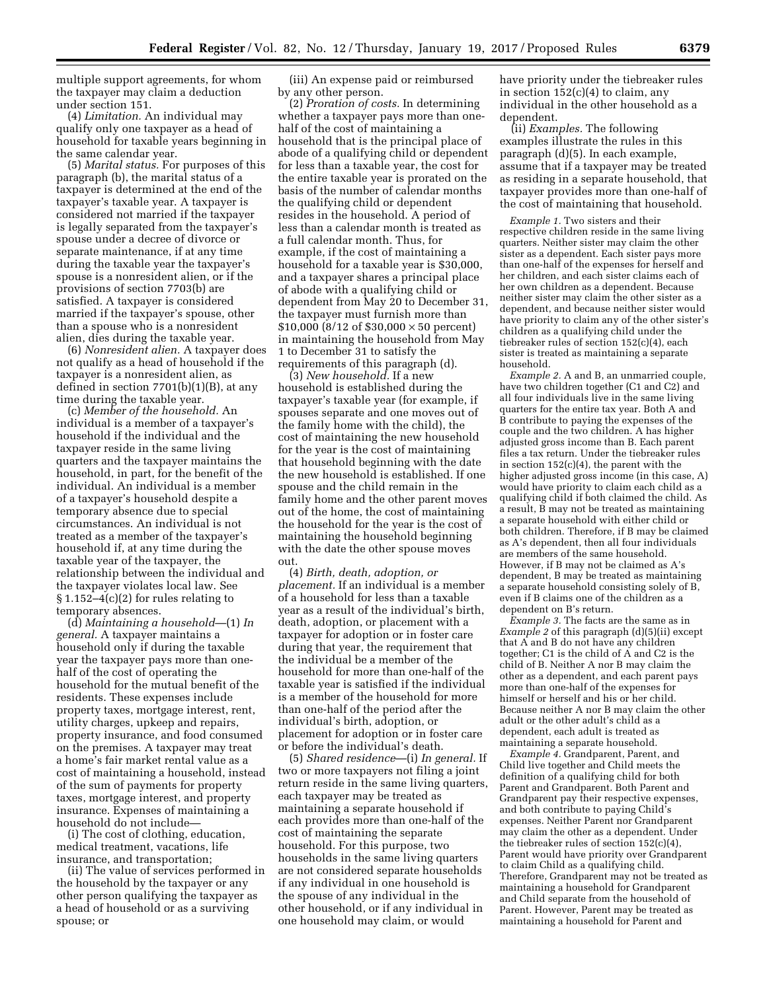multiple support agreements, for whom the taxpayer may claim a deduction under section 151.

(4) *Limitation.* An individual may qualify only one taxpayer as a head of household for taxable years beginning in the same calendar year.

(5) *Marital status.* For purposes of this paragraph (b), the marital status of a taxpayer is determined at the end of the taxpayer's taxable year. A taxpayer is considered not married if the taxpayer is legally separated from the taxpayer's spouse under a decree of divorce or separate maintenance, if at any time during the taxable year the taxpayer's spouse is a nonresident alien, or if the provisions of section 7703(b) are satisfied. A taxpayer is considered married if the taxpayer's spouse, other than a spouse who is a nonresident alien, dies during the taxable year.

(6) *Nonresident alien.* A taxpayer does not qualify as a head of household if the taxpayer is a nonresident alien, as defined in section 7701(b)(1)(B), at any time during the taxable year.

(c) *Member of the household.* An individual is a member of a taxpayer's household if the individual and the taxpayer reside in the same living quarters and the taxpayer maintains the household, in part, for the benefit of the individual. An individual is a member of a taxpayer's household despite a temporary absence due to special circumstances. An individual is not treated as a member of the taxpayer's household if, at any time during the taxable year of the taxpayer, the relationship between the individual and the taxpayer violates local law. See  $§ 1.152-4(c)(2)$  for rules relating to temporary absences.

(d) *Maintaining a household*—(1) *In general.* A taxpayer maintains a household only if during the taxable year the taxpayer pays more than onehalf of the cost of operating the household for the mutual benefit of the residents. These expenses include property taxes, mortgage interest, rent, utility charges, upkeep and repairs, property insurance, and food consumed on the premises. A taxpayer may treat a home's fair market rental value as a cost of maintaining a household, instead of the sum of payments for property taxes, mortgage interest, and property insurance. Expenses of maintaining a household do not include—

(i) The cost of clothing, education, medical treatment, vacations, life insurance, and transportation;

(ii) The value of services performed in the household by the taxpayer or any other person qualifying the taxpayer as a head of household or as a surviving spouse; or

(iii) An expense paid or reimbursed by any other person.

(2) *Proration of costs.* In determining whether a taxpayer pays more than onehalf of the cost of maintaining a household that is the principal place of abode of a qualifying child or dependent for less than a taxable year, the cost for the entire taxable year is prorated on the basis of the number of calendar months the qualifying child or dependent resides in the household. A period of less than a calendar month is treated as a full calendar month. Thus, for example, if the cost of maintaining a household for a taxable year is \$30,000, and a taxpayer shares a principal place of abode with a qualifying child or dependent from May 20 to December 31, the taxpayer must furnish more than \$10,000 ( $8/12$  of \$30,000  $\times$  50 percent) in maintaining the household from May 1 to December 31 to satisfy the requirements of this paragraph (d).

(3) *New household.* If a new household is established during the taxpayer's taxable year (for example, if spouses separate and one moves out of the family home with the child), the cost of maintaining the new household for the year is the cost of maintaining that household beginning with the date the new household is established. If one spouse and the child remain in the family home and the other parent moves out of the home, the cost of maintaining the household for the year is the cost of maintaining the household beginning with the date the other spouse moves out.

(4) *Birth, death, adoption, or placement.* If an individual is a member of a household for less than a taxable year as a result of the individual's birth, death, adoption, or placement with a taxpayer for adoption or in foster care during that year, the requirement that the individual be a member of the household for more than one-half of the taxable year is satisfied if the individual is a member of the household for more than one-half of the period after the individual's birth, adoption, or placement for adoption or in foster care or before the individual's death.

(5) *Shared residence*—(i) *In general.* If two or more taxpayers not filing a joint return reside in the same living quarters, each taxpayer may be treated as maintaining a separate household if each provides more than one-half of the cost of maintaining the separate household. For this purpose, two households in the same living quarters are not considered separate households if any individual in one household is the spouse of any individual in the other household, or if any individual in one household may claim, or would

have priority under the tiebreaker rules in section  $152(c)(4)$  to claim, any individual in the other household as a dependent.

(ii) *Examples.* The following examples illustrate the rules in this paragraph (d)(5). In each example, assume that if a taxpayer may be treated as residing in a separate household, that taxpayer provides more than one-half of the cost of maintaining that household.

*Example 1.* Two sisters and their respective children reside in the same living quarters. Neither sister may claim the other sister as a dependent. Each sister pays more than one-half of the expenses for herself and her children, and each sister claims each of her own children as a dependent. Because neither sister may claim the other sister as a dependent, and because neither sister would have priority to claim any of the other sister's children as a qualifying child under the tiebreaker rules of section 152(c)(4), each sister is treated as maintaining a separate household.

*Example 2.* A and B, an unmarried couple, have two children together (C1 and C2) and all four individuals live in the same living quarters for the entire tax year. Both A and B contribute to paying the expenses of the couple and the two children. A has higher adjusted gross income than B. Each parent files a tax return. Under the tiebreaker rules in section 152(c)(4), the parent with the higher adjusted gross income (in this case, A) would have priority to claim each child as a qualifying child if both claimed the child. As a result, B may not be treated as maintaining a separate household with either child or both children. Therefore, if B may be claimed as A's dependent, then all four individuals are members of the same household. However, if B may not be claimed as A's dependent, B may be treated as maintaining a separate household consisting solely of B, even if B claims one of the children as a dependent on B's return.

*Example 3.* The facts are the same as in *Example 2* of this paragraph (d)(5)(ii) except that A and B do not have any children together; C1 is the child of A and C2 is the child of B. Neither A nor B may claim the other as a dependent, and each parent pays more than one-half of the expenses for himself or herself and his or her child. Because neither A nor B may claim the other adult or the other adult's child as a dependent, each adult is treated as maintaining a separate household.

*Example 4.* Grandparent, Parent, and Child live together and Child meets the definition of a qualifying child for both Parent and Grandparent. Both Parent and Grandparent pay their respective expenses, and both contribute to paying Child's expenses. Neither Parent nor Grandparent may claim the other as a dependent. Under the tiebreaker rules of section 152(c)(4), Parent would have priority over Grandparent to claim Child as a qualifying child. Therefore, Grandparent may not be treated as maintaining a household for Grandparent and Child separate from the household of Parent. However, Parent may be treated as maintaining a household for Parent and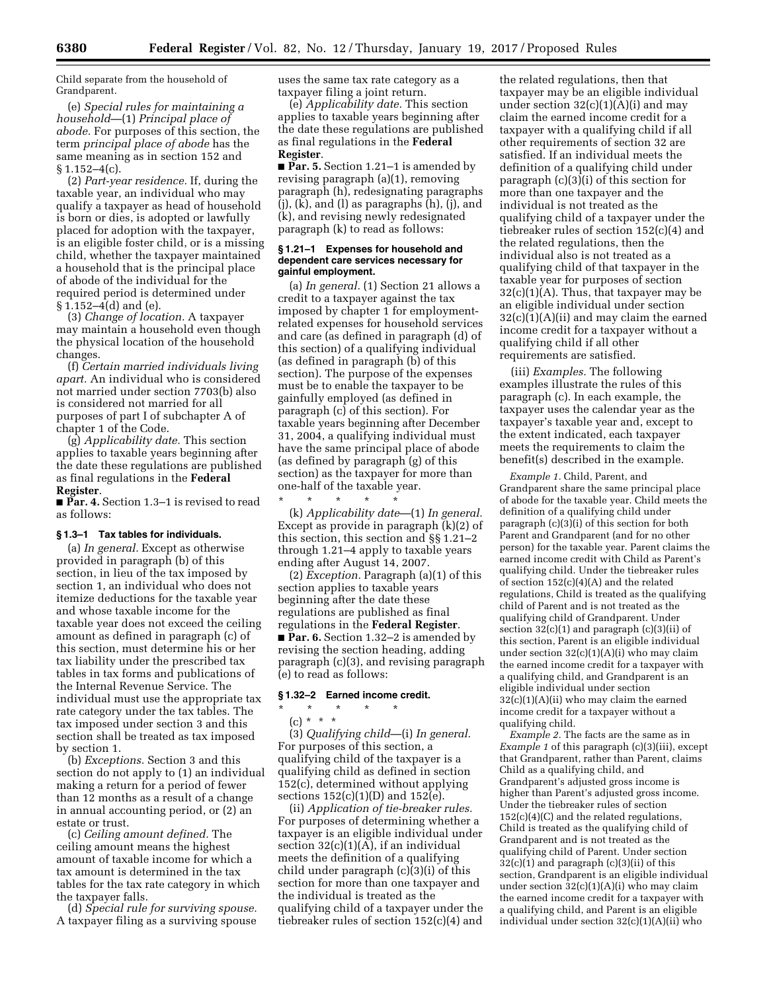Child separate from the household of Grandparent.

(e) *Special rules for maintaining a household*—(1) *Principal place of abode.* For purposes of this section, the term *principal place of abode* has the same meaning as in section 152 and § 1.152–4(c).

(2) *Part-year residence.* If, during the taxable year, an individual who may qualify a taxpayer as head of household is born or dies, is adopted or lawfully placed for adoption with the taxpayer, is an eligible foster child, or is a missing child, whether the taxpayer maintained a household that is the principal place of abode of the individual for the required period is determined under  $\S 1.152 - 4(d)$  and (e).

(3) *Change of location.* A taxpayer may maintain a household even though the physical location of the household changes.

(f) *Certain married individuals living apart.* An individual who is considered not married under section 7703(b) also is considered not married for all purposes of part I of subchapter A of chapter 1 of the Code.

(g) *Applicability date.* This section applies to taxable years beginning after the date these regulations are published as final regulations in the **Federal Register**.

■ **Par. 4.** Section 1.3–1 is revised to read as follows:

### **§ 1.3–1 Tax tables for individuals.**

(a) *In general.* Except as otherwise provided in paragraph (b) of this section, in lieu of the tax imposed by section 1, an individual who does not itemize deductions for the taxable year and whose taxable income for the taxable year does not exceed the ceiling amount as defined in paragraph (c) of this section, must determine his or her tax liability under the prescribed tax tables in tax forms and publications of the Internal Revenue Service. The individual must use the appropriate tax rate category under the tax tables. The tax imposed under section 3 and this section shall be treated as tax imposed by section 1.

(b) *Exceptions.* Section 3 and this section do not apply to (1) an individual making a return for a period of fewer than 12 months as a result of a change in annual accounting period, or (2) an estate or trust.

(c) *Ceiling amount defined.* The ceiling amount means the highest amount of taxable income for which a tax amount is determined in the tax tables for the tax rate category in which the taxpayer falls.

(d) *Special rule for surviving spouse.*  A taxpayer filing as a surviving spouse uses the same tax rate category as a taxpayer filing a joint return.

(e) *Applicability date.* This section applies to taxable years beginning after the date these regulations are published as final regulations in the **Federal Register**.

■ **Par. 5.** Section 1.21–1 is amended by revising paragraph (a)(1), removing paragraph (h), redesignating paragraphs  $(i)$ ,  $(k)$ , and  $(l)$  as paragraphs  $(h)$ ,  $(i)$ , and (k), and revising newly redesignated paragraph (k) to read as follows:

#### **§ 1.21–1 Expenses for household and dependent care services necessary for gainful employment.**

(a) *In general.* (1) Section 21 allows a credit to a taxpayer against the tax imposed by chapter 1 for employmentrelated expenses for household services and care (as defined in paragraph (d) of this section) of a qualifying individual (as defined in paragraph (b) of this section). The purpose of the expenses must be to enable the taxpayer to be gainfully employed (as defined in paragraph (c) of this section). For taxable years beginning after December 31, 2004, a qualifying individual must have the same principal place of abode (as defined by paragraph (g) of this section) as the taxpayer for more than one-half of the taxable year.

\* \* \* \* \* (k) *Applicability date*—(1) *In general.*  Except as provide in paragraph (k)(2) of this section, this section and §§ 1.21–2 through 1.21–4 apply to taxable years ending after August 14, 2007.

(2) *Exception.* Paragraph (a)(1) of this section applies to taxable years beginning after the date these regulations are published as final regulations in the **Federal Register**. ■ **Par. 6.** Section 1.32–2 is amended by revising the section heading, adding paragraph (c)(3), and revising paragraph (e) to read as follows:

# **§ 1.32–2 Earned income credit.**

\* \* \* \* \* (c) \* \* \*

(3) *Qualifying child*—(i) *In general.*  For purposes of this section, a qualifying child of the taxpayer is a qualifying child as defined in section 152(c), determined without applying sections 152(c)(1)(D) and 152(e).

(ii) *Application of tie-breaker rules.*  For purposes of determining whether a taxpayer is an eligible individual under section  $32(c)(1)(A)$ , if an individual meets the definition of a qualifying child under paragraph (c)(3)(i) of this section for more than one taxpayer and the individual is treated as the qualifying child of a taxpayer under the tiebreaker rules of section 152(c)(4) and

the related regulations, then that taxpayer may be an eligible individual under section  $32(c)(1)(A)(i)$  and may claim the earned income credit for a taxpayer with a qualifying child if all other requirements of section 32 are satisfied. If an individual meets the definition of a qualifying child under paragraph (c)(3)(i) of this section for more than one taxpayer and the individual is not treated as the qualifying child of a taxpayer under the tiebreaker rules of section 152(c)(4) and the related regulations, then the individual also is not treated as a qualifying child of that taxpayer in the taxable year for purposes of section 32(c)(1)(A). Thus, that taxpayer may be an eligible individual under section 32(c)(1)(A)(ii) and may claim the earned income credit for a taxpayer without a qualifying child if all other requirements are satisfied.

(iii) *Examples.* The following examples illustrate the rules of this paragraph (c). In each example, the taxpayer uses the calendar year as the taxpayer's taxable year and, except to the extent indicated, each taxpayer meets the requirements to claim the benefit(s) described in the example.

*Example 1.* Child, Parent, and Grandparent share the same principal place of abode for the taxable year. Child meets the definition of a qualifying child under paragraph (c)(3)(i) of this section for both Parent and Grandparent (and for no other person) for the taxable year. Parent claims the earned income credit with Child as Parent's qualifying child. Under the tiebreaker rules of section 152(c)(4)(A) and the related regulations, Child is treated as the qualifying child of Parent and is not treated as the qualifying child of Grandparent. Under section  $32(c)(1)$  and paragraph  $(c)(3)(ii)$  of this section, Parent is an eligible individual under section 32(c)(1)(A)(i) who may claim the earned income credit for a taxpayer with a qualifying child, and Grandparent is an eligible individual under section  $32(c)(1)(A)(ii)$  who may claim the earned income credit for a taxpayer without a qualifying child.

*Example 2.* The facts are the same as in *Example 1* of this paragraph (c)(3)(iii), except that Grandparent, rather than Parent, claims Child as a qualifying child, and Grandparent's adjusted gross income is higher than Parent's adjusted gross income. Under the tiebreaker rules of section  $152(c)(4)(C)$  and the related regulations, Child is treated as the qualifying child of Grandparent and is not treated as the qualifying child of Parent. Under section  $32(c)(1)$  and paragraph  $(c)(3)(ii)$  of this section, Grandparent is an eligible individual under section 32(c)(1)(A)(i) who may claim the earned income credit for a taxpayer with a qualifying child, and Parent is an eligible individual under section 32(c)(1)(A)(ii) who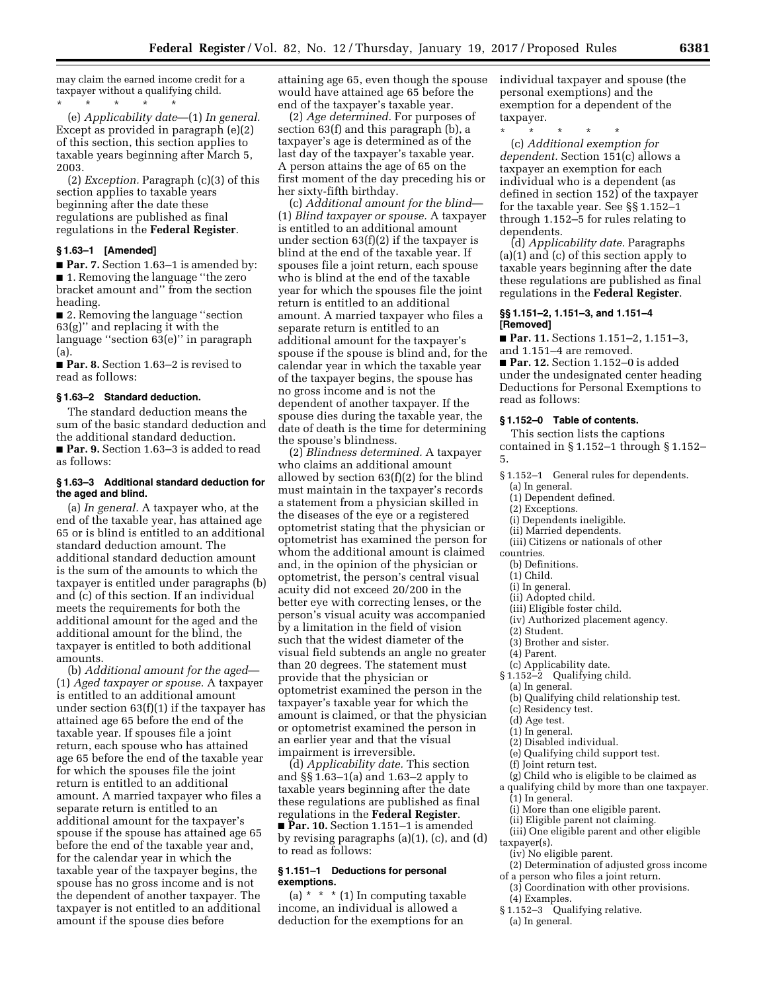may claim the earned income credit for a taxpayer without a qualifying child. \* \* \* \* \*

(e) *Applicability date*—(1) *In general.*  Except as provided in paragraph (e)(2) of this section, this section applies to taxable years beginning after March 5, 2003.

(2) *Exception.* Paragraph (c)(3) of this section applies to taxable years beginning after the date these regulations are published as final regulations in the **Federal Register**.

#### **§ 1.63–1 [Amended]**

■ **Par. 7.** Section 1.63–1 is amended by: ■ 1. Removing the language "the zero bracket amount and'' from the section heading.

■ 2. Removing the language "section 63(g)'' and replacing it with the language ''section 63(e)'' in paragraph (a).

■ **Par. 8.** Section 1.63–2 is revised to read as follows:

### **§ 1.63–2 Standard deduction.**

The standard deduction means the sum of the basic standard deduction and the additional standard deduction. ■ **Par. 9.** Section 1.63–3 is added to read as follows:

## **§ 1.63–3 Additional standard deduction for the aged and blind.**

(a) *In general.* A taxpayer who, at the end of the taxable year, has attained age 65 or is blind is entitled to an additional standard deduction amount. The additional standard deduction amount is the sum of the amounts to which the taxpayer is entitled under paragraphs (b) and (c) of this section. If an individual meets the requirements for both the additional amount for the aged and the additional amount for the blind, the taxpayer is entitled to both additional amounts.

(b) *Additional amount for the aged*— (1) *Aged taxpayer or spouse.* A taxpayer is entitled to an additional amount under section 63(f)(1) if the taxpayer has attained age 65 before the end of the taxable year. If spouses file a joint return, each spouse who has attained age 65 before the end of the taxable year for which the spouses file the joint return is entitled to an additional amount. A married taxpayer who files a separate return is entitled to an additional amount for the taxpayer's spouse if the spouse has attained age 65 before the end of the taxable year and, for the calendar year in which the taxable year of the taxpayer begins, the spouse has no gross income and is not the dependent of another taxpayer. The taxpayer is not entitled to an additional amount if the spouse dies before

attaining age 65, even though the spouse would have attained age 65 before the end of the taxpayer's taxable year.

(2) *Age determined.* For purposes of section 63(f) and this paragraph (b), a taxpayer's age is determined as of the last day of the taxpayer's taxable year. A person attains the age of 65 on the first moment of the day preceding his or her sixty-fifth birthday.

(c) *Additional amount for the blind*— (1) *Blind taxpayer or spouse.* A taxpayer is entitled to an additional amount under section  $63(f)(2)$  if the taxpayer is blind at the end of the taxable year. If spouses file a joint return, each spouse who is blind at the end of the taxable year for which the spouses file the joint return is entitled to an additional amount. A married taxpayer who files a separate return is entitled to an additional amount for the taxpayer's spouse if the spouse is blind and, for the calendar year in which the taxable year of the taxpayer begins, the spouse has no gross income and is not the dependent of another taxpayer. If the spouse dies during the taxable year, the date of death is the time for determining the spouse's blindness.

(2) *Blindness determined.* A taxpayer who claims an additional amount allowed by section 63(f)(2) for the blind must maintain in the taxpayer's records a statement from a physician skilled in the diseases of the eye or a registered optometrist stating that the physician or optometrist has examined the person for whom the additional amount is claimed and, in the opinion of the physician or optometrist, the person's central visual acuity did not exceed 20/200 in the better eye with correcting lenses, or the person's visual acuity was accompanied by a limitation in the field of vision such that the widest diameter of the visual field subtends an angle no greater than 20 degrees. The statement must provide that the physician or optometrist examined the person in the taxpayer's taxable year for which the amount is claimed, or that the physician or optometrist examined the person in an earlier year and that the visual impairment is irreversible.

(d) *Applicability date.* This section and §§ 1.63–1(a) and 1.63–2 apply to taxable years beginning after the date these regulations are published as final regulations in the **Federal Register**. ■ **Par. 10.** Section 1.151–1 is amended by revising paragraphs (a)(1), (c), and (d) to read as follows:

#### **§ 1.151–1 Deductions for personal exemptions.**

(a) \* \* \* (1) In computing taxable income, an individual is allowed a deduction for the exemptions for an

individual taxpayer and spouse (the personal exemptions) and the exemption for a dependent of the taxpayer.

\* \* \* \* \*

(c) *Additional exemption for dependent.* Section 151(c) allows a taxpayer an exemption for each individual who is a dependent (as defined in section 152) of the taxpayer for the taxable year. See §§ 1.152–1 through 1.152–5 for rules relating to dependents.

(d) *Applicability date.* Paragraphs (a)(1) and (c) of this section apply to taxable years beginning after the date these regulations are published as final regulations in the **Federal Register**.

### **§§ 1.151–2, 1.151–3, and 1.151–4 [Removed]**

■ **Par. 11.** Sections 1.151–2, 1.151–3, and 1.151–4 are removed.

■ **Par. 12.** Section 1.152-0 is added under the undesignated center heading Deductions for Personal Exemptions to read as follows:

## **§ 1.152–0 Table of contents.**

This section lists the captions contained in § 1.152–1 through § 1.152– 5.

- § 1.152–1 General rules for dependents.
	- (a) In general. (1) Dependent defined.
	- (2) Exceptions.
	-
	- (i) Dependents ineligible.
	- (ii) Married dependents.
- (iii) Citizens or nationals of other countries.
- (b) Definitions.
- (1) Child.
- (i) In general.
- (ii) Adopted child.
- (iii) Eligible foster child.
- (iv) Authorized placement agency.
- (2) Student.
- (3) Brother and sister.
- (4) Parent.
- (c) Applicability date.
- § 1.152–2 Qualifying child.
- (a) In general.
- (b) Qualifying child relationship test.
- (c) Residency test.
- (d) Age test.
- (1) In general.
- (2) Disabled individual.
- (e) Qualifying child support test.
- (f) Joint return test.
- (g) Child who is eligible to be claimed as
- a qualifying child by more than one taxpayer. (1) In general.
	- (i) More than one eligible parent.
	- (ii) Eligible parent not claiming.
- (iii) One eligible parent and other eligible taxpayer(s).
- (iv) No eligible parent.
- (2) Determination of adjusted gross income of a person who files a joint return.
	- (3) Coordination with other provisions.
- (4) Examples.
- § 1.152–3 Qualifying relative.
- (a) In general.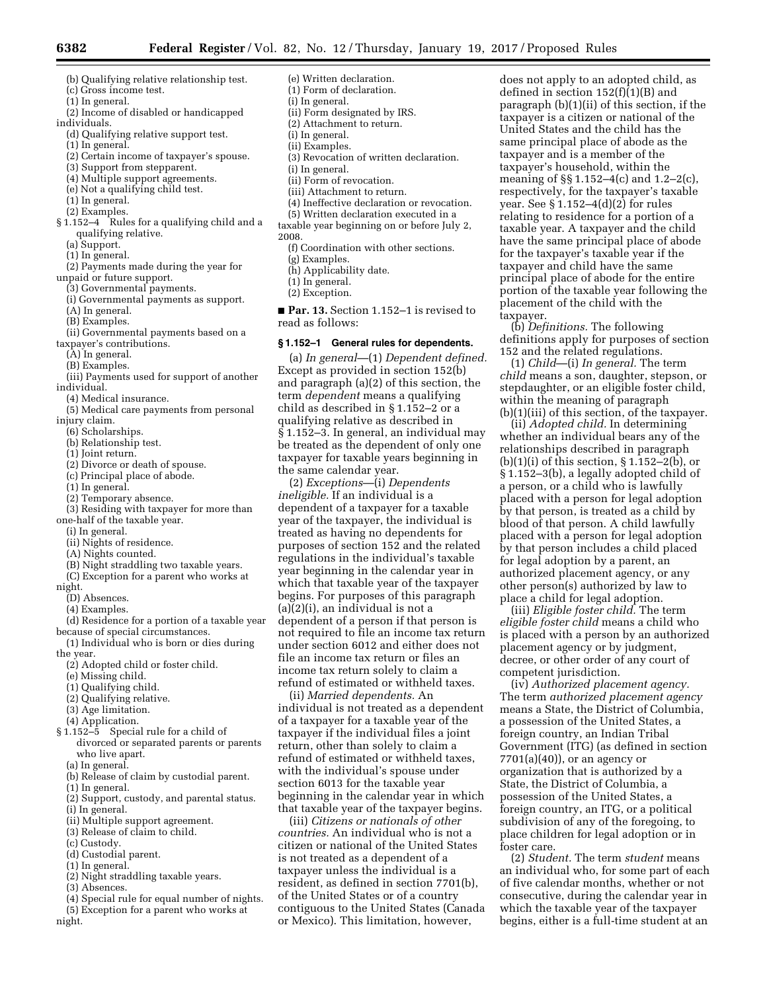- (b) Qualifying relative relationship test.
- (c) Gross income test.
- (1) In general.
- (2) Income of disabled or handicapped individuals.

- (d) Qualifying relative support test.
- (1) In general.
- (2) Certain income of taxpayer's spouse.
- (3) Support from stepparent.
- (4) Multiple support agreements.
- (e) Not a qualifying child test.
- (1) In general.
- (2) Examples.
- § 1.152–4 Rules for a qualifying child and a qualifying relative.
	- (a) Support.
	- (1) In general.
- (2) Payments made during the year for unpaid or future support.
	- (3) Governmental payments.
	- (i) Governmental payments as support.
	- (A) In general.
	- (B) Examples.
	-
- (ii) Governmental payments based on a taxpayer's contributions.
	- (A) In general.
	-
	- (B) Examples.
- (iii) Payments used for support of another individual.
- (4) Medical insurance.
- (5) Medical care payments from personal injury claim.
- (6) Scholarships.
- (b) Relationship test.
- (1) Joint return.
- (2) Divorce or death of spouse.
- (c) Principal place of abode.
- (1) In general.
- (2) Temporary absence.
- (3) Residing with taxpayer for more than
- one-half of the taxable year.
	- (i) In general.
	- (ii) Nights of residence.
	- (A) Nights counted.
	- (B) Night straddling two taxable years.
- (C) Exception for a parent who works at night.
- (D) Absences.
- (4) Examples.
- (d) Residence for a portion of a taxable year
- because of special circumstances. (1) Individual who is born or dies during
- the year.
- (2) Adopted child or foster child.
- (e) Missing child.
- (1) Qualifying child.
- (2) Qualifying relative.
- (3) Age limitation.
- (4) Application.
- § 1.152–5 Special rule for a child of divorced or separated parents or parents who live apart.
	- (a) In general.
	- (b) Release of claim by custodial parent. (1) In general.
	- (2) Support, custody, and parental status.
	- (i) In general.
	- (ii) Multiple support agreement.
	- (3) Release of claim to child.
	- (c) Custody.
	- (d) Custodial parent.
	- (1) In general.
	- (2) Night straddling taxable years.
- (3) Absences.
- (4) Special rule for equal number of nights. (5) Exception for a parent who works at night.
- (e) Written declaration. (1) Form of declaration. (i) In general. (ii) Form designated by IRS.
- (2) Attachment to return.
- (i) In general.
- (ii) Examples.
- (3) Revocation of written declaration.
- (i) In general.
- (ii) Form of revocation.
- (iii) Attachment to return.
- (4) Ineffective declaration or revocation.
- (5) Written declaration executed in a
- taxable year beginning on or before July 2, 2008.
	- (f) Coordination with other sections.
	- (g) Examples.
	- (h) Applicability date.
	- (1) In general.
	- (2) Exception.
- **Par. 13.** Section 1.152–1 is revised to read as follows:

#### **§ 1.152–1 General rules for dependents.**

(a) *In general*—(1) *Dependent defined.*  Except as provided in section 152(b) and paragraph (a)(2) of this section, the term *dependent* means a qualifying child as described in § 1.152–2 or a qualifying relative as described in § 1.152–3. In general, an individual may be treated as the dependent of only one taxpayer for taxable years beginning in the same calendar year.

(2) *Exceptions*—(i) *Dependents ineligible.* If an individual is a dependent of a taxpayer for a taxable year of the taxpayer, the individual is treated as having no dependents for purposes of section 152 and the related regulations in the individual's taxable year beginning in the calendar year in which that taxable year of the taxpayer begins. For purposes of this paragraph (a)(2)(i), an individual is not a dependent of a person if that person is not required to file an income tax return under section 6012 and either does not file an income tax return or files an income tax return solely to claim a refund of estimated or withheld taxes.

(ii) *Married dependents.* An individual is not treated as a dependent of a taxpayer for a taxable year of the taxpayer if the individual files a joint return, other than solely to claim a refund of estimated or withheld taxes, with the individual's spouse under section 6013 for the taxable year beginning in the calendar year in which that taxable year of the taxpayer begins.

(iii) *Citizens or nationals of other countries.* An individual who is not a citizen or national of the United States is not treated as a dependent of a taxpayer unless the individual is a resident, as defined in section 7701(b), of the United States or of a country contiguous to the United States (Canada or Mexico). This limitation, however,

does not apply to an adopted child, as defined in section  $152(f)(1)(B)$  and paragraph (b)(1)(ii) of this section, if the taxpayer is a citizen or national of the United States and the child has the same principal place of abode as the taxpayer and is a member of the taxpayer's household, within the meaning of §§ 1.152–4(c) and 1.2–2(c), respectively, for the taxpayer's taxable year. See § 1.152–4(d)(2) for rules relating to residence for a portion of a taxable year. A taxpayer and the child have the same principal place of abode for the taxpayer's taxable year if the taxpayer and child have the same principal place of abode for the entire portion of the taxable year following the placement of the child with the taxpayer.

(b) *Definitions.* The following definitions apply for purposes of section 152 and the related regulations.

(1) *Child*—(i) *In general.* The term *child* means a son, daughter, stepson, or stepdaughter, or an eligible foster child, within the meaning of paragraph (b)(1)(iii) of this section, of the taxpayer.

(ii) *Adopted child.* In determining whether an individual bears any of the relationships described in paragraph  $(b)(1)(i)$  of this section, § 1.152–2 $(b)$ , or § 1.152–3(b), a legally adopted child of a person, or a child who is lawfully placed with a person for legal adoption by that person, is treated as a child by blood of that person. A child lawfully placed with a person for legal adoption by that person includes a child placed for legal adoption by a parent, an authorized placement agency, or any other person(s) authorized by law to place a child for legal adoption.

(iii) *Eligible foster child.* The term *eligible foster child* means a child who is placed with a person by an authorized placement agency or by judgment, decree, or other order of any court of competent jurisdiction.

(iv) *Authorized placement agency.*  The term *authorized placement agency*  means a State, the District of Columbia, a possession of the United States, a foreign country, an Indian Tribal Government (ITG) (as defined in section  $7701(a)(40)$ , or an agency or organization that is authorized by a State, the District of Columbia, a possession of the United States, a foreign country, an ITG, or a political subdivision of any of the foregoing, to place children for legal adoption or in foster care.

(2) *Student.* The term *student* means an individual who, for some part of each of five calendar months, whether or not consecutive, during the calendar year in which the taxable year of the taxpayer begins, either is a full-time student at an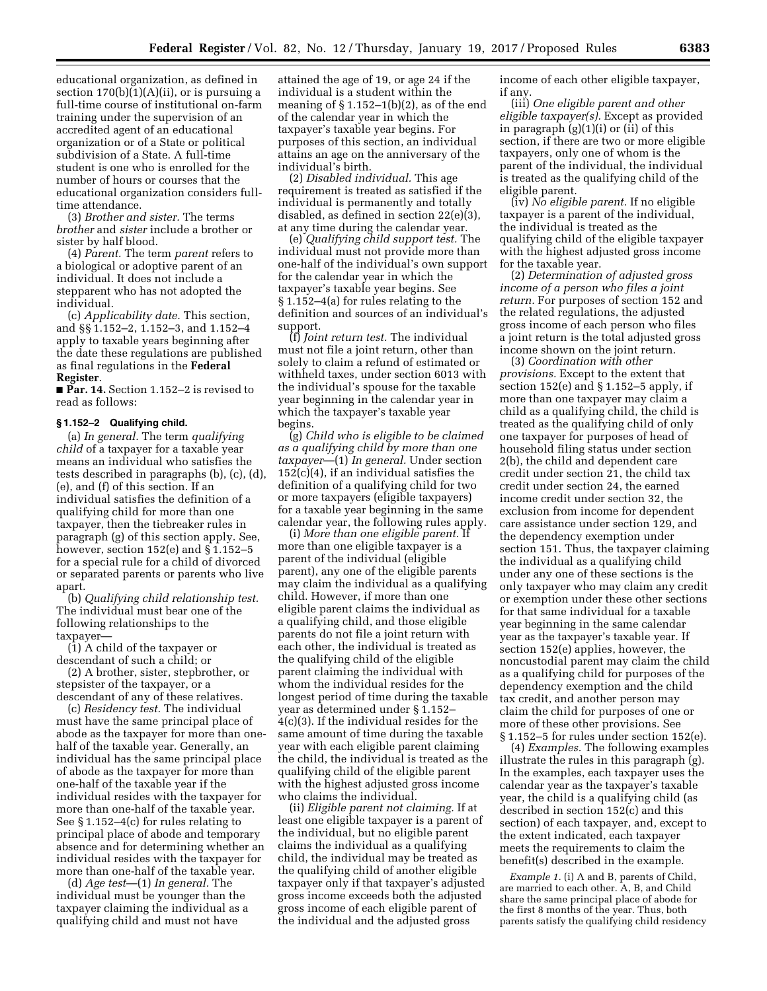educational organization, as defined in section  $170(b)(1)(A)(ii)$ , or is pursuing a full-time course of institutional on-farm training under the supervision of an accredited agent of an educational organization or of a State or political subdivision of a State. A full-time student is one who is enrolled for the number of hours or courses that the educational organization considers fulltime attendance.

(3) *Brother and sister.* The terms *brother* and *sister* include a brother or sister by half blood.

(4) *Parent.* The term *parent* refers to a biological or adoptive parent of an individual. It does not include a stepparent who has not adopted the individual.

(c) *Applicability date.* This section, and §§ 1.152–2, 1.152–3, and 1.152–4 apply to taxable years beginning after the date these regulations are published as final regulations in the **Federal Register**.

■ **Par. 14.** Section 1.152–2 is revised to read as follows:

#### **§ 1.152–2 Qualifying child.**

(a) *In general.* The term *qualifying child* of a taxpayer for a taxable year means an individual who satisfies the tests described in paragraphs (b), (c), (d), (e), and (f) of this section. If an individual satisfies the definition of a qualifying child for more than one taxpayer, then the tiebreaker rules in paragraph (g) of this section apply. See, however, section 152(e) and § 1.152–5 for a special rule for a child of divorced or separated parents or parents who live apart.

(b) *Qualifying child relationship test.*  The individual must bear one of the following relationships to the taxpayer—

(1) A child of the taxpayer or descendant of such a child; or

(2) A brother, sister, stepbrother, or stepsister of the taxpayer, or a descendant of any of these relatives.

(c) *Residency test.* The individual must have the same principal place of abode as the taxpayer for more than onehalf of the taxable year. Generally, an individual has the same principal place of abode as the taxpayer for more than one-half of the taxable year if the individual resides with the taxpayer for more than one-half of the taxable year. See § 1.152–4(c) for rules relating to principal place of abode and temporary absence and for determining whether an individual resides with the taxpayer for more than one-half of the taxable year.

(d) *Age test*—(1) *In general.* The individual must be younger than the taxpayer claiming the individual as a qualifying child and must not have

attained the age of 19, or age 24 if the individual is a student within the meaning of  $\S 1.152-1(b)(2)$ , as of the end of the calendar year in which the taxpayer's taxable year begins. For purposes of this section, an individual attains an age on the anniversary of the individual's birth.

(2) *Disabled individual.* This age requirement is treated as satisfied if the individual is permanently and totally disabled, as defined in section 22(e)(3), at any time during the calendar year.

(e) *Qualifying child support test.* The individual must not provide more than one-half of the individual's own support for the calendar year in which the taxpayer's taxable year begins. See § 1.152–4(a) for rules relating to the definition and sources of an individual's support.

(f) *Joint return test.* The individual must not file a joint return, other than solely to claim a refund of estimated or withheld taxes, under section 6013 with the individual's spouse for the taxable year beginning in the calendar year in which the taxpayer's taxable year begins.

(g) *Child who is eligible to be claimed as a qualifying child by more than one taxpayer*—(1) *In general.* Under section  $152(c)(4)$ , if an individual satisfies the definition of a qualifying child for two or more taxpayers (eligible taxpayers) for a taxable year beginning in the same calendar year, the following rules apply.

(i) *More than one eligible parent.* If more than one eligible taxpayer is a parent of the individual (eligible parent), any one of the eligible parents may claim the individual as a qualifying child. However, if more than one eligible parent claims the individual as a qualifying child, and those eligible parents do not file a joint return with each other, the individual is treated as the qualifying child of the eligible parent claiming the individual with whom the individual resides for the longest period of time during the taxable year as determined under § 1.152– 4(c)(3). If the individual resides for the same amount of time during the taxable year with each eligible parent claiming the child, the individual is treated as the qualifying child of the eligible parent with the highest adjusted gross income who claims the individual.

(ii) *Eligible parent not claiming.* If at least one eligible taxpayer is a parent of the individual, but no eligible parent claims the individual as a qualifying child, the individual may be treated as the qualifying child of another eligible taxpayer only if that taxpayer's adjusted gross income exceeds both the adjusted gross income of each eligible parent of the individual and the adjusted gross

income of each other eligible taxpayer, if any.

(iii) *One eligible parent and other eligible taxpayer(s).* Except as provided in paragraph  $(g)(1)(i)$  or  $(ii)$  of this section, if there are two or more eligible taxpayers, only one of whom is the parent of the individual, the individual is treated as the qualifying child of the eligible parent.

(iv) *No eligible parent.* If no eligible taxpayer is a parent of the individual, the individual is treated as the qualifying child of the eligible taxpayer with the highest adjusted gross income for the taxable year.

(2) *Determination of adjusted gross income of a person who files a joint return.* For purposes of section 152 and the related regulations, the adjusted gross income of each person who files a joint return is the total adjusted gross income shown on the joint return.

(3) *Coordination with other provisions.* Except to the extent that section 152(e) and § 1.152–5 apply, if more than one taxpayer may claim a child as a qualifying child, the child is treated as the qualifying child of only one taxpayer for purposes of head of household filing status under section 2(b), the child and dependent care credit under section 21, the child tax credit under section 24, the earned income credit under section 32, the exclusion from income for dependent care assistance under section 129, and the dependency exemption under section 151. Thus, the taxpayer claiming the individual as a qualifying child under any one of these sections is the only taxpayer who may claim any credit or exemption under these other sections for that same individual for a taxable year beginning in the same calendar year as the taxpayer's taxable year. If section 152(e) applies, however, the noncustodial parent may claim the child as a qualifying child for purposes of the dependency exemption and the child tax credit, and another person may claim the child for purposes of one or more of these other provisions. See § 1.152–5 for rules under section 152(e).

(4) *Examples.* The following examples illustrate the rules in this paragraph (g). In the examples, each taxpayer uses the calendar year as the taxpayer's taxable year, the child is a qualifying child (as described in section 152(c) and this section) of each taxpayer, and, except to the extent indicated, each taxpayer meets the requirements to claim the benefit(s) described in the example.

*Example 1.* (i) A and B, parents of Child, are married to each other. A, B, and Child share the same principal place of abode for the first 8 months of the year. Thus, both parents satisfy the qualifying child residency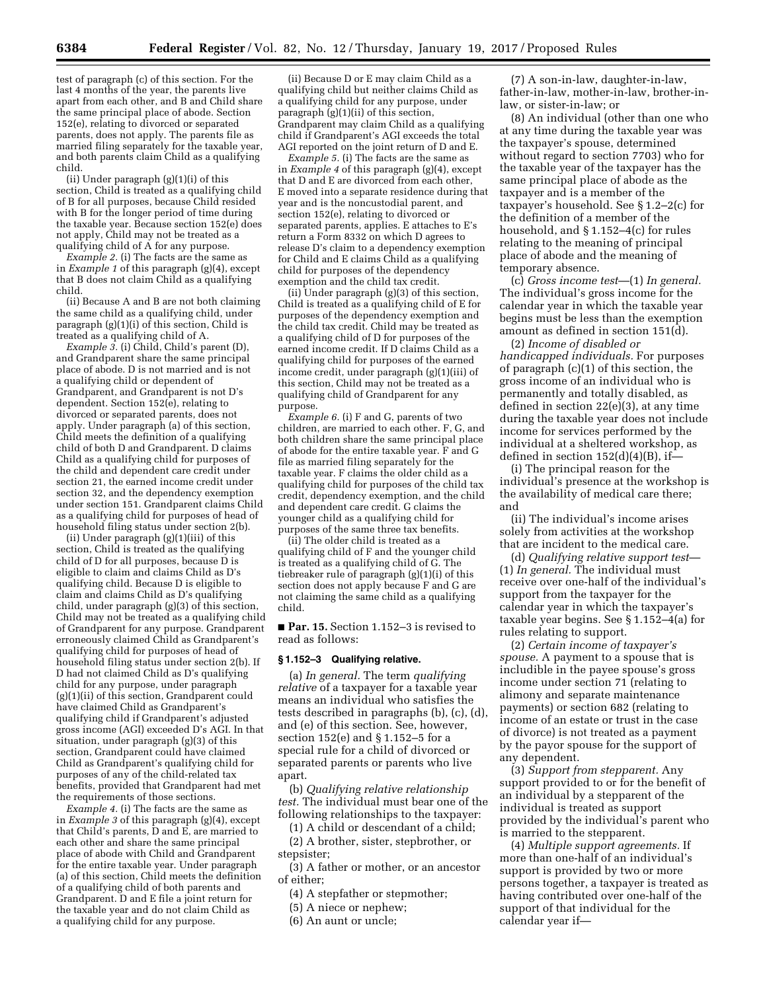test of paragraph (c) of this section. For the last 4 months of the year, the parents live apart from each other, and B and Child share the same principal place of abode. Section 152(e), relating to divorced or separated parents, does not apply. The parents file as married filing separately for the taxable year, and both parents claim Child as a qualifying child.

(ii) Under paragraph (g)(1)(i) of this section, Child is treated as a qualifying child of B for all purposes, because Child resided with B for the longer period of time during the taxable year. Because section 152(e) does not apply, Child may not be treated as a qualifying child of A for any purpose.

*Example 2.* (i) The facts are the same as in *Example 1* of this paragraph (g)(4), except that B does not claim Child as a qualifying child.

(ii) Because A and B are not both claiming the same child as a qualifying child, under paragraph (g)(1)(i) of this section, Child is treated as a qualifying child of A.

*Example 3.* (i) Child, Child's parent (D), and Grandparent share the same principal place of abode. D is not married and is not a qualifying child or dependent of Grandparent, and Grandparent is not D's dependent. Section 152(e), relating to divorced or separated parents, does not apply. Under paragraph (a) of this section, Child meets the definition of a qualifying child of both D and Grandparent. D claims Child as a qualifying child for purposes of the child and dependent care credit under section 21, the earned income credit under section 32, and the dependency exemption under section 151. Grandparent claims Child as a qualifying child for purposes of head of household filing status under section 2(b).

(ii) Under paragraph (g)(1)(iii) of this section, Child is treated as the qualifying child of D for all purposes, because D is eligible to claim and claims Child as D's qualifying child. Because D is eligible to claim and claims Child as D's qualifying child, under paragraph (g)(3) of this section, Child may not be treated as a qualifying child of Grandparent for any purpose. Grandparent erroneously claimed Child as Grandparent's qualifying child for purposes of head of household filing status under section 2(b). If D had not claimed Child as D's qualifying child for any purpose, under paragraph (g)(1)(ii) of this section, Grandparent could have claimed Child as Grandparent's qualifying child if Grandparent's adjusted gross income (AGI) exceeded D's AGI. In that situation, under paragraph (g)(3) of this section, Grandparent could have claimed Child as Grandparent's qualifying child for purposes of any of the child-related tax benefits, provided that Grandparent had met the requirements of those sections.

*Example 4.* (i) The facts are the same as in *Example 3* of this paragraph (g)(4), except that Child's parents, D and E, are married to each other and share the same principal place of abode with Child and Grandparent for the entire taxable year. Under paragraph (a) of this section, Child meets the definition of a qualifying child of both parents and Grandparent. D and E file a joint return for the taxable year and do not claim Child as a qualifying child for any purpose.

(ii) Because D or E may claim Child as a qualifying child but neither claims Child as a qualifying child for any purpose, under paragraph (g)(1)(ii) of this section. Grandparent may claim Child as a qualifying child if Grandparent's AGI exceeds the total AGI reported on the joint return of D and E.

*Example 5.* (i) The facts are the same as in *Example 4* of this paragraph (g)(4), except that D and E are divorced from each other, E moved into a separate residence during that year and is the noncustodial parent, and section 152(e), relating to divorced or separated parents, applies. E attaches to E's return a Form 8332 on which D agrees to release D's claim to a dependency exemption for Child and E claims Child as a qualifying child for purposes of the dependency exemption and the child tax credit.

(ii) Under paragraph (g)(3) of this section, Child is treated as a qualifying child of E for purposes of the dependency exemption and the child tax credit. Child may be treated as a qualifying child of D for purposes of the earned income credit. If D claims Child as a qualifying child for purposes of the earned income credit, under paragraph (g)(1)(iii) of this section, Child may not be treated as a qualifying child of Grandparent for any purpose.

*Example 6.* (i) F and G, parents of two children, are married to each other. F, G, and both children share the same principal place of abode for the entire taxable year. F and G file as married filing separately for the taxable year. F claims the older child as a qualifying child for purposes of the child tax credit, dependency exemption, and the child and dependent care credit. G claims the younger child as a qualifying child for purposes of the same three tax benefits.

(ii) The older child is treated as a qualifying child of F and the younger child is treated as a qualifying child of G. The tiebreaker rule of paragraph (g)(1)(i) of this section does not apply because F and G are not claiming the same child as a qualifying child.

■ **Par. 15.** Section 1.152–3 is revised to read as follows:

#### **§ 1.152–3 Qualifying relative.**

(a) *In general.* The term *qualifying relative* of a taxpayer for a taxable year means an individual who satisfies the tests described in paragraphs (b), (c), (d), and (e) of this section. See, however, section 152(e) and § 1.152–5 for a special rule for a child of divorced or separated parents or parents who live apart.

(b) *Qualifying relative relationship test.* The individual must bear one of the following relationships to the taxpayer:

(1) A child or descendant of a child;

(2) A brother, sister, stepbrother, or stepsister;

(3) A father or mother, or an ancestor of either;

(4) A stepfather or stepmother;

(5) A niece or nephew;

(6) An aunt or uncle;

(7) A son-in-law, daughter-in-law, father-in-law, mother-in-law, brother-inlaw, or sister-in-law; or

(8) An individual (other than one who at any time during the taxable year was the taxpayer's spouse, determined without regard to section 7703) who for the taxable year of the taxpayer has the same principal place of abode as the taxpayer and is a member of the taxpayer's household. See § 1.2–2(c) for the definition of a member of the household, and § 1.152–4(c) for rules relating to the meaning of principal place of abode and the meaning of temporary absence.

(c) *Gross income test*—(1) *In general.*  The individual's gross income for the calendar year in which the taxable year begins must be less than the exemption amount as defined in section 151(d).

(2) *Income of disabled or handicapped individuals.* For purposes of paragraph (c)(1) of this section, the gross income of an individual who is permanently and totally disabled, as defined in section 22(e)(3), at any time during the taxable year does not include income for services performed by the individual at a sheltered workshop, as defined in section 152(d)(4)(B), if—

(i) The principal reason for the individual's presence at the workshop is the availability of medical care there; and

(ii) The individual's income arises solely from activities at the workshop that are incident to the medical care.

(d) *Qualifying relative support test*— (1) *In general.* The individual must receive over one-half of the individual's support from the taxpayer for the calendar year in which the taxpayer's taxable year begins. See § 1.152–4(a) for rules relating to support.

(2) *Certain income of taxpayer's spouse.* A payment to a spouse that is includible in the payee spouse's gross income under section 71 (relating to alimony and separate maintenance payments) or section 682 (relating to income of an estate or trust in the case of divorce) is not treated as a payment by the payor spouse for the support of any dependent.

(3) *Support from stepparent.* Any support provided to or for the benefit of an individual by a stepparent of the individual is treated as support provided by the individual's parent who is married to the stepparent.

(4) *Multiple support agreements.* If more than one-half of an individual's support is provided by two or more persons together, a taxpayer is treated as having contributed over one-half of the support of that individual for the calendar year if—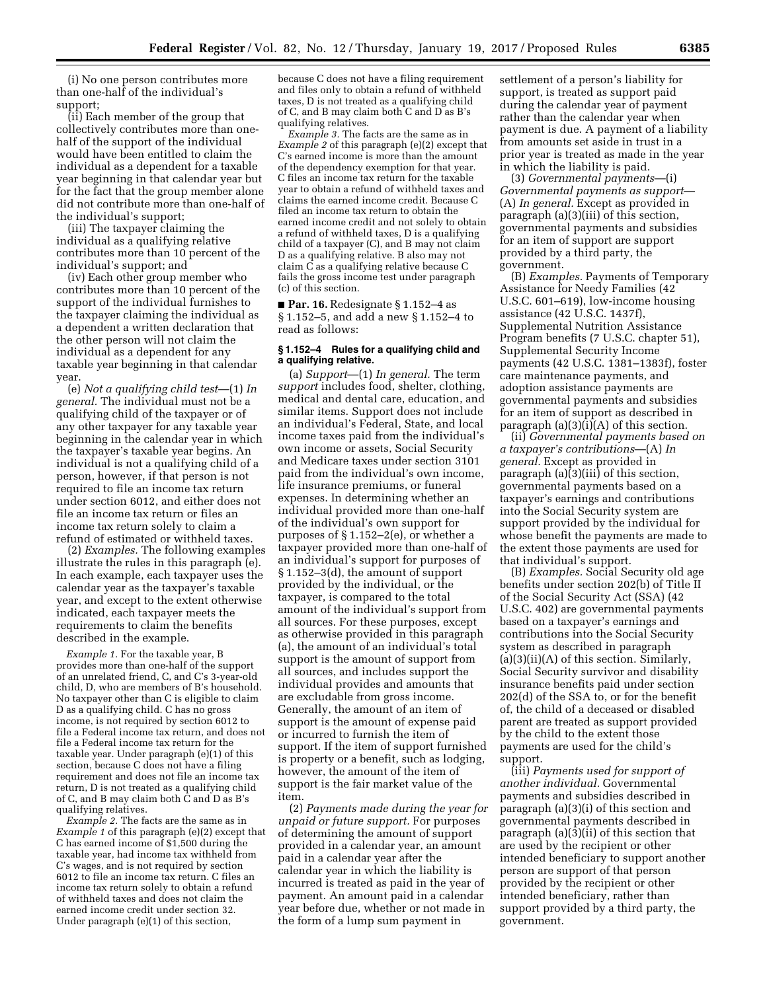(i) No one person contributes more than one-half of the individual's support;

(ii) Each member of the group that collectively contributes more than onehalf of the support of the individual would have been entitled to claim the individual as a dependent for a taxable year beginning in that calendar year but for the fact that the group member alone did not contribute more than one-half of the individual's support;

(iii) The taxpayer claiming the individual as a qualifying relative contributes more than 10 percent of the individual's support; and

(iv) Each other group member who contributes more than 10 percent of the support of the individual furnishes to the taxpayer claiming the individual as a dependent a written declaration that the other person will not claim the individual as a dependent for any taxable year beginning in that calendar year.

(e) *Not a qualifying child test*—(1) *In general.* The individual must not be a qualifying child of the taxpayer or of any other taxpayer for any taxable year beginning in the calendar year in which the taxpayer's taxable year begins. An individual is not a qualifying child of a person, however, if that person is not required to file an income tax return under section 6012, and either does not file an income tax return or files an income tax return solely to claim a refund of estimated or withheld taxes.

(2) *Examples.* The following examples illustrate the rules in this paragraph (e). In each example, each taxpayer uses the calendar year as the taxpayer's taxable year, and except to the extent otherwise indicated, each taxpayer meets the requirements to claim the benefits described in the example.

*Example 1.* For the taxable year, B provides more than one-half of the support of an unrelated friend, C, and C's 3-year-old child, D, who are members of B's household. No taxpayer other than C is eligible to claim D as a qualifying child. C has no gross income, is not required by section 6012 to file a Federal income tax return, and does not file a Federal income tax return for the taxable year. Under paragraph (e)(1) of this section, because C does not have a filing requirement and does not file an income tax return, D is not treated as a qualifying child of C, and B may claim both C and D as B's qualifying relatives.

*Example 2.* The facts are the same as in *Example 1* of this paragraph (e)(2) except that C has earned income of \$1,500 during the taxable year, had income tax withheld from C's wages, and is not required by section 6012 to file an income tax return. C files an income tax return solely to obtain a refund of withheld taxes and does not claim the earned income credit under section 32. Under paragraph (e)(1) of this section,

because C does not have a filing requirement and files only to obtain a refund of withheld taxes, D is not treated as a qualifying child of C, and B may claim both C and D as B's qualifying relatives.

*Example 3.* The facts are the same as in *Example 2* of this paragraph (e)(2) except that C's earned income is more than the amount of the dependency exemption for that year. C files an income tax return for the taxable year to obtain a refund of withheld taxes and claims the earned income credit. Because C filed an income tax return to obtain the earned income credit and not solely to obtain a refund of withheld taxes, D is a qualifying child of a taxpayer (C), and B may not claim D as a qualifying relative. B also may not claim C as a qualifying relative because C fails the gross income test under paragraph (c) of this section.

■ **Par. 16.** Redesignate § 1.152–4 as § 1.152–5, and add a new § 1.152–4 to read as follows:

### **§ 1.152–4 Rules for a qualifying child and a qualifying relative.**

(a) *Support*—(1) *In general.* The term *support* includes food, shelter, clothing, medical and dental care, education, and similar items. Support does not include an individual's Federal, State, and local income taxes paid from the individual's own income or assets, Social Security and Medicare taxes under section 3101 paid from the individual's own income, life insurance premiums, or funeral expenses. In determining whether an individual provided more than one-half of the individual's own support for purposes of § 1.152–2(e), or whether a taxpayer provided more than one-half of an individual's support for purposes of § 1.152–3(d), the amount of support provided by the individual, or the taxpayer, is compared to the total amount of the individual's support from all sources. For these purposes, except as otherwise provided in this paragraph (a), the amount of an individual's total support is the amount of support from all sources, and includes support the individual provides and amounts that are excludable from gross income. Generally, the amount of an item of support is the amount of expense paid or incurred to furnish the item of support. If the item of support furnished is property or a benefit, such as lodging, however, the amount of the item of support is the fair market value of the item.

(2) *Payments made during the year for unpaid or future support.* For purposes of determining the amount of support provided in a calendar year, an amount paid in a calendar year after the calendar year in which the liability is incurred is treated as paid in the year of payment. An amount paid in a calendar year before due, whether or not made in the form of a lump sum payment in

settlement of a person's liability for support, is treated as support paid during the calendar year of payment rather than the calendar year when payment is due. A payment of a liability from amounts set aside in trust in a prior year is treated as made in the year in which the liability is paid.

(3) *Governmental payments*—(i) *Governmental payments as support*— (A) *In general.* Except as provided in paragraph (a)(3)(iii) of this section, governmental payments and subsidies for an item of support are support provided by a third party, the government.

(B) *Examples.* Payments of Temporary Assistance for Needy Families (42 U.S.C. 601–619), low-income housing assistance (42 U.S.C. 1437f), Supplemental Nutrition Assistance Program benefits (7 U.S.C. chapter 51), Supplemental Security Income payments (42 U.S.C. 1381–1383f), foster care maintenance payments, and adoption assistance payments are governmental payments and subsidies for an item of support as described in paragraph  $(a)(3)(i)(A)$  of this section.

(ii) *Governmental payments based on a taxpayer's contributions*—(A) *In general.* Except as provided in paragraph (a)(3)(iii) of this section, governmental payments based on a taxpayer's earnings and contributions into the Social Security system are support provided by the individual for whose benefit the payments are made to the extent those payments are used for that individual's support.

(B) *Examples.* Social Security old age benefits under section 202(b) of Title II of the Social Security Act (SSA) (42 U.S.C. 402) are governmental payments based on a taxpayer's earnings and contributions into the Social Security system as described in paragraph (a)(3)(ii)(A) of this section. Similarly, Social Security survivor and disability insurance benefits paid under section 202(d) of the SSA to, or for the benefit of, the child of a deceased or disabled parent are treated as support provided by the child to the extent those payments are used for the child's support.

(iii) *Payments used for support of another individual.* Governmental payments and subsidies described in paragraph (a)(3)(i) of this section and governmental payments described in paragraph  $(a)(3)(ii)$  of this section that are used by the recipient or other intended beneficiary to support another person are support of that person provided by the recipient or other intended beneficiary, rather than support provided by a third party, the government.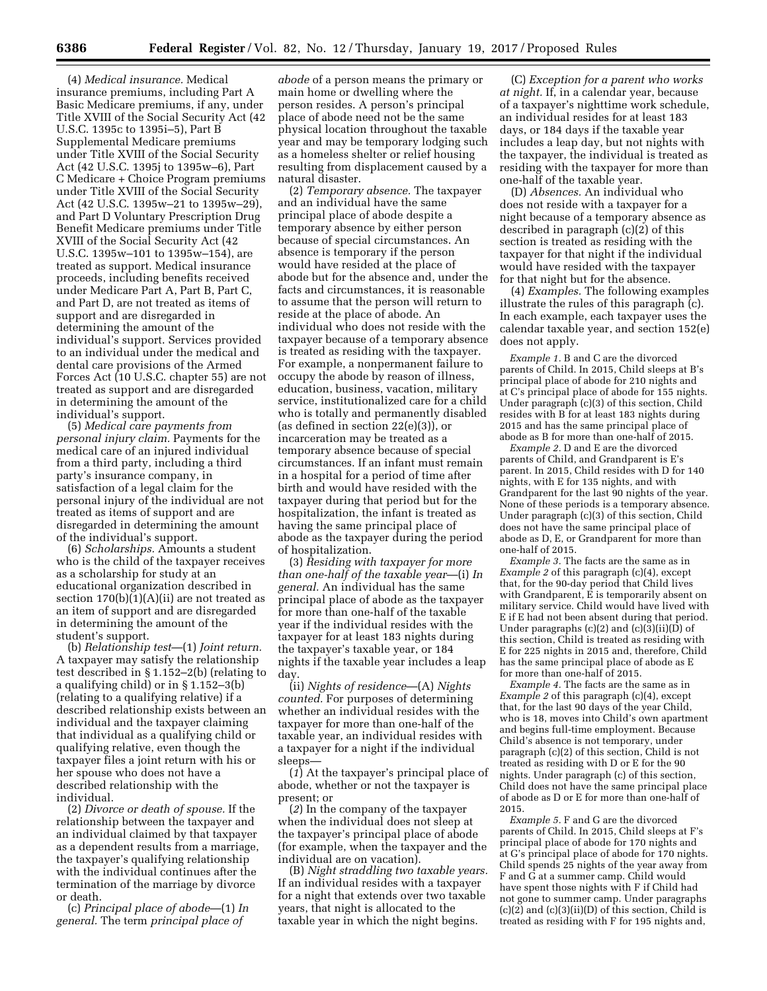(4) *Medical insurance.* Medical insurance premiums, including Part A Basic Medicare premiums, if any, under Title XVIII of the Social Security Act (42 U.S.C. 1395c to 1395i–5), Part B Supplemental Medicare premiums under Title XVIII of the Social Security Act (42 U.S.C. 1395j to 1395w–6), Part C Medicare + Choice Program premiums under Title XVIII of the Social Security Act (42 U.S.C. 1395w–21 to 1395w–29), and Part D Voluntary Prescription Drug Benefit Medicare premiums under Title XVIII of the Social Security Act (42 U.S.C. 1395w–101 to 1395w–154), are treated as support. Medical insurance proceeds, including benefits received under Medicare Part A, Part B, Part C, and Part D, are not treated as items of support and are disregarded in determining the amount of the individual's support. Services provided to an individual under the medical and dental care provisions of the Armed Forces Act (10 U.S.C. chapter 55) are not treated as support and are disregarded in determining the amount of the individual's support.

(5) *Medical care payments from personal injury claim.* Payments for the medical care of an injured individual from a third party, including a third party's insurance company, in satisfaction of a legal claim for the personal injury of the individual are not treated as items of support and are disregarded in determining the amount of the individual's support.

(6) *Scholarships.* Amounts a student who is the child of the taxpayer receives as a scholarship for study at an educational organization described in section  $170(b)(1)(A)(ii)$  are not treated as an item of support and are disregarded in determining the amount of the student's support.

(b) *Relationship test*—(1) *Joint return.*  A taxpayer may satisfy the relationship test described in § 1.152–2(b) (relating to a qualifying child) or in § 1.152–3(b) (relating to a qualifying relative) if a described relationship exists between an individual and the taxpayer claiming that individual as a qualifying child or qualifying relative, even though the taxpayer files a joint return with his or her spouse who does not have a described relationship with the individual.

(2) *Divorce or death of spouse.* If the relationship between the taxpayer and an individual claimed by that taxpayer as a dependent results from a marriage, the taxpayer's qualifying relationship with the individual continues after the termination of the marriage by divorce or death.

(c) *Principal place of abode*—(1) *In general.* The term *principal place of* 

*abode* of a person means the primary or main home or dwelling where the person resides. A person's principal place of abode need not be the same physical location throughout the taxable year and may be temporary lodging such as a homeless shelter or relief housing resulting from displacement caused by a natural disaster.

(2) *Temporary absence.* The taxpayer and an individual have the same principal place of abode despite a temporary absence by either person because of special circumstances. An absence is temporary if the person would have resided at the place of abode but for the absence and, under the facts and circumstances, it is reasonable to assume that the person will return to reside at the place of abode. An individual who does not reside with the taxpayer because of a temporary absence is treated as residing with the taxpayer. For example, a nonpermanent failure to occupy the abode by reason of illness, education, business, vacation, military service, institutionalized care for a child who is totally and permanently disabled (as defined in section 22(e)(3)), or incarceration may be treated as a temporary absence because of special circumstances. If an infant must remain in a hospital for a period of time after birth and would have resided with the taxpayer during that period but for the hospitalization, the infant is treated as having the same principal place of abode as the taxpayer during the period of hospitalization.

(3) *Residing with taxpayer for more than one-half of the taxable year*—(i) *In general.* An individual has the same principal place of abode as the taxpayer for more than one-half of the taxable year if the individual resides with the taxpayer for at least 183 nights during the taxpayer's taxable year, or 184 nights if the taxable year includes a leap day.

(ii) *Nights of residence*—(A) *Nights counted.* For purposes of determining whether an individual resides with the taxpayer for more than one-half of the taxable year, an individual resides with a taxpayer for a night if the individual sleeps—

(*1*) At the taxpayer's principal place of abode, whether or not the taxpayer is present; or

(*2*) In the company of the taxpayer when the individual does not sleep at the taxpayer's principal place of abode (for example, when the taxpayer and the individual are on vacation).

(B) *Night straddling two taxable years.*  If an individual resides with a taxpayer for a night that extends over two taxable years, that night is allocated to the taxable year in which the night begins.

(C) *Exception for a parent who works at night.* If, in a calendar year, because of a taxpayer's nighttime work schedule, an individual resides for at least 183 days, or 184 days if the taxable year includes a leap day, but not nights with the taxpayer, the individual is treated as residing with the taxpayer for more than one-half of the taxable year.

(D) *Absences.* An individual who does not reside with a taxpayer for a night because of a temporary absence as described in paragraph (c)(2) of this section is treated as residing with the taxpayer for that night if the individual would have resided with the taxpayer for that night but for the absence.

(4) *Examples.* The following examples illustrate the rules of this paragraph (c). In each example, each taxpayer uses the calendar taxable year, and section 152(e) does not apply.

*Example 1.* B and C are the divorced parents of Child. In 2015, Child sleeps at B's principal place of abode for 210 nights and at C's principal place of abode for 155 nights. Under paragraph (c)(3) of this section, Child resides with B for at least 183 nights during 2015 and has the same principal place of abode as B for more than one-half of 2015.

*Example 2.* D and E are the divorced parents of Child, and Grandparent is E's parent. In 2015, Child resides with D for 140 nights, with E for 135 nights, and with Grandparent for the last 90 nights of the year. None of these periods is a temporary absence. Under paragraph (c)(3) of this section, Child does not have the same principal place of abode as D, E, or Grandparent for more than one-half of 2015.

*Example 3.* The facts are the same as in *Example 2* of this paragraph (c)(4), except that, for the 90-day period that Child lives with Grandparent, E is temporarily absent on military service. Child would have lived with E if E had not been absent during that period. Under paragraphs  $(c)(2)$  and  $(c)(3)(ii)(\overline{D})$  of this section, Child is treated as residing with E for 225 nights in 2015 and, therefore, Child has the same principal place of abode as E for more than one-half of 2015.

*Example 4.* The facts are the same as in *Example 2* of this paragraph (c)(4), except that, for the last 90 days of the year Child, who is 18, moves into Child's own apartment and begins full-time employment. Because Child's absence is not temporary, under paragraph (c)(2) of this section, Child is not treated as residing with D or E for the 90 nights. Under paragraph (c) of this section, Child does not have the same principal place of abode as D or E for more than one-half of 2015.

*Example 5.* F and G are the divorced parents of Child. In 2015, Child sleeps at F's principal place of abode for 170 nights and at G's principal place of abode for 170 nights. Child spends 25 nights of the year away from F and G at a summer camp. Child would have spent those nights with F if Child had not gone to summer camp. Under paragraphs  $(c)(2)$  and  $(c)(3)(ii)(D)$  of this section, Child is treated as residing with F for 195 nights and,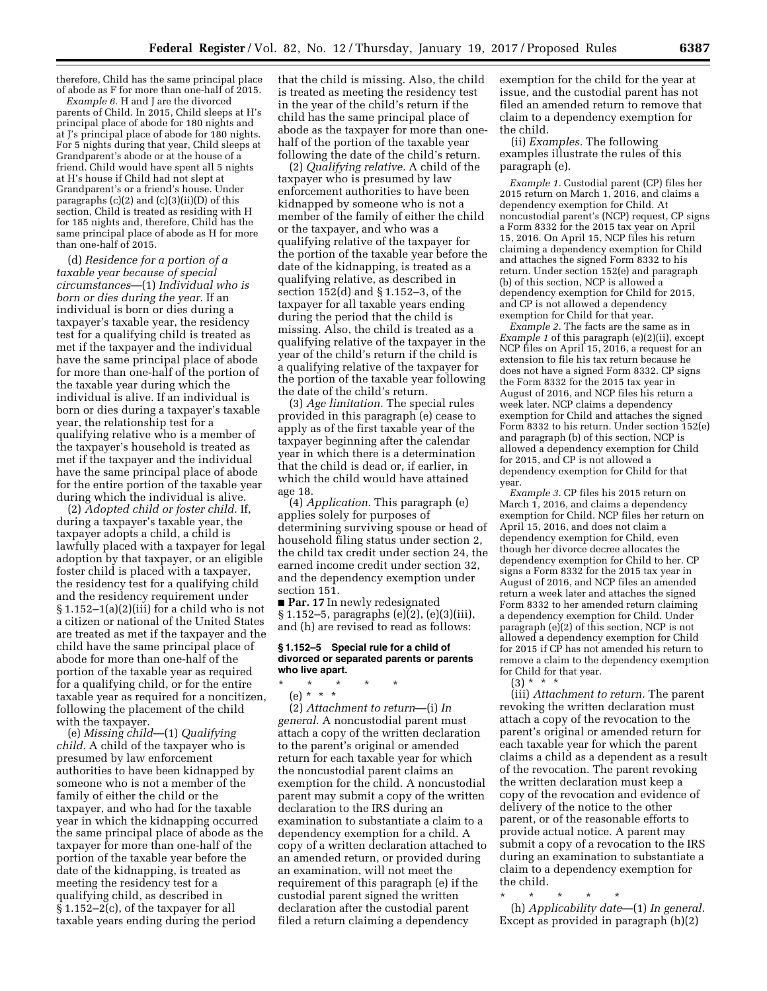therefore, Child has the same principal place of abode as F for more than one-half of 2015.

*Example 6.* H and J are the divorced parents of Child. In 2015, Child sleeps at H's principal place of abode for 180 nights and at J's principal place of abode for 180 nights. For 5 nights during that year, Child sleeps at Grandparent's abode or at the house of a friend. Child would have spent all 5 nights at H's house if Child had not slept at Grandparent's or a friend's house. Under paragraphs (c)(2) and (c)(3)(ii)(D) of this section, Child is treated as residing with H for 185 nights and, therefore, Child has the same principal place of abode as H for more than one-half of 2015.

(d) *Residence for a portion of a taxable year because of special circumstances*—(1) *Individual who is born or dies during the year.* If an individual is born or dies during a taxpayer's taxable year, the residency test for a qualifying child is treated as met if the taxpayer and the individual have the same principal place of abode for more than one-half of the portion of the taxable year during which the individual is alive. If an individual is born or dies during a taxpayer's taxable year, the relationship test for a qualifying relative who is a member of the taxpayer's household is treated as met if the taxpayer and the individual have the same principal place of abode for the entire portion of the taxable year during which the individual is alive.

(2) *Adopted child or foster child.* If, during a taxpayer's taxable year, the taxpayer adopts a child, a child is lawfully placed with a taxpayer for legal adoption by that taxpayer, or an eligible foster child is placed with a taxpayer, the residency test for a qualifying child and the residency requirement under  $§ 1.152-1(a)(2)(iii)$  for a child who is not a citizen or national of the United States are treated as met if the taxpayer and the child have the same principal place of abode for more than one-half of the portion of the taxable year as required for a qualifying child, or for the entire taxable year as required for a noncitizen, following the placement of the child with the taxpayer.

(e) *Missing child*—(1) *Qualifying child.* A child of the taxpayer who is presumed by law enforcement authorities to have been kidnapped by someone who is not a member of the family of either the child or the taxpayer, and who had for the taxable year in which the kidnapping occurred the same principal place of abode as the taxpayer for more than one-half of the portion of the taxable year before the date of the kidnapping, is treated as meeting the residency test for a qualifying child, as described in § 1.152–2(c), of the taxpayer for all taxable years ending during the period

that the child is missing. Also, the child is treated as meeting the residency test in the year of the child's return if the child has the same principal place of abode as the taxpayer for more than onehalf of the portion of the taxable year following the date of the child's return.

(2) *Qualifying relative.* A child of the taxpayer who is presumed by law enforcement authorities to have been kidnapped by someone who is not a member of the family of either the child or the taxpayer, and who was a qualifying relative of the taxpayer for the portion of the taxable year before the date of the kidnapping, is treated as a qualifying relative, as described in section 152(d) and § 1.152–3, of the taxpayer for all taxable years ending during the period that the child is missing. Also, the child is treated as a qualifying relative of the taxpayer in the year of the child's return if the child is a qualifying relative of the taxpayer for the portion of the taxable year following the date of the child's return.

(3) *Age limitation.* The special rules provided in this paragraph (e) cease to apply as of the first taxable year of the taxpayer beginning after the calendar year in which there is a determination that the child is dead or, if earlier, in which the child would have attained age 18.

(4) *Application.* This paragraph (e) applies solely for purposes of determining surviving spouse or head of household filing status under section 2, the child tax credit under section 24, the earned income credit under section 32, and the dependency exemption under section 151.

■ **Par. 17** In newly redesignated § 1.152–5, paragraphs (e)(2), (e)(3)(iii), and (h) are revised to read as follows:

#### **§ 1.152–5 Special rule for a child of divorced or separated parents or parents who live apart.**

\* \* \* \* \*

(e) \* \* \*

(2) *Attachment to return*—(i) *In general.* A noncustodial parent must attach a copy of the written declaration to the parent's original or amended return for each taxable year for which the noncustodial parent claims an exemption for the child. A noncustodial parent may submit a copy of the written declaration to the IRS during an examination to substantiate a claim to a dependency exemption for a child. A copy of a written declaration attached to an amended return, or provided during an examination, will not meet the requirement of this paragraph (e) if the custodial parent signed the written declaration after the custodial parent filed a return claiming a dependency

exemption for the child for the year at issue, and the custodial parent has not filed an amended return to remove that claim to a dependency exemption for the child.

(ii) *Examples.* The following examples illustrate the rules of this paragraph (e).

*Example 1.* Custodial parent (CP) files her 2015 return on March 1, 2016, and claims a dependency exemption for Child. At noncustodial parent's (NCP) request, CP signs a Form 8332 for the 2015 tax year on April 15, 2016. On April 15, NCP files his return claiming a dependency exemption for Child and attaches the signed Form 8332 to his return. Under section 152(e) and paragraph (b) of this section, NCP is allowed a dependency exemption for Child for 2015, and CP is not allowed a dependency exemption for Child for that year.

*Example 2.* The facts are the same as in *Example 1* of this paragraph (e)(2)(ii), except NCP files on April 15, 2016, a request for an extension to file his tax return because he does not have a signed Form 8332. CP signs the Form 8332 for the 2015 tax year in August of 2016, and NCP files his return a week later. NCP claims a dependency exemption for Child and attaches the signed Form 8332 to his return. Under section 152(e) and paragraph (b) of this section, NCP is allowed a dependency exemption for Child for 2015, and CP is not allowed a dependency exemption for Child for that year.

*Example 3.* CP files his 2015 return on March 1, 2016, and claims a dependency exemption for Child. NCP files her return on April 15, 2016, and does not claim a dependency exemption for Child, even though her divorce decree allocates the dependency exemption for Child to her. CP signs a Form 8332 for the 2015 tax year in August of 2016, and NCP files an amended return a week later and attaches the signed Form 8332 to her amended return claiming a dependency exemption for Child. Under paragraph (e)(2) of this section, NCP is not allowed a dependency exemption for Child for 2015 if CP has not amended his return to remove a claim to the dependency exemption for Child for that year.

 $(3) * * * *$ 

(iii) *Attachment to return.* The parent revoking the written declaration must attach a copy of the revocation to the parent's original or amended return for each taxable year for which the parent claims a child as a dependent as a result of the revocation. The parent revoking the written declaration must keep a copy of the revocation and evidence of delivery of the notice to the other parent, or of the reasonable efforts to provide actual notice. A parent may submit a copy of a revocation to the IRS during an examination to substantiate a claim to a dependency exemption for the child.

\* \* \* \* \*

(h) *Applicability date*—(1) *In general.*  Except as provided in paragraph (h)(2)